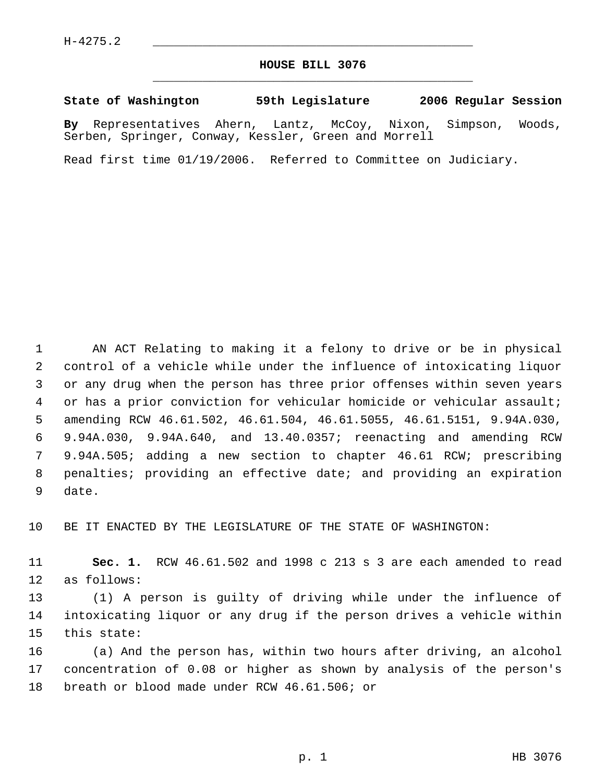## **HOUSE BILL 3076** \_\_\_\_\_\_\_\_\_\_\_\_\_\_\_\_\_\_\_\_\_\_\_\_\_\_\_\_\_\_\_\_\_\_\_\_\_\_\_\_\_\_\_\_\_

**State of Washington 59th Legislature 2006 Regular Session**

**By** Representatives Ahern, Lantz, McCoy, Nixon, Simpson, Woods, Serben, Springer, Conway, Kessler, Green and Morrell

Read first time 01/19/2006. Referred to Committee on Judiciary.

 AN ACT Relating to making it a felony to drive or be in physical control of a vehicle while under the influence of intoxicating liquor or any drug when the person has three prior offenses within seven years 4 or has a prior conviction for vehicular homicide or vehicular assault; amending RCW 46.61.502, 46.61.504, 46.61.5055, 46.61.5151, 9.94A.030, 9.94A.030, 9.94A.640, and 13.40.0357; reenacting and amending RCW 9.94A.505; adding a new section to chapter 46.61 RCW; prescribing penalties; providing an effective date; and providing an expiration date.

BE IT ENACTED BY THE LEGISLATURE OF THE STATE OF WASHINGTON:

 **Sec. 1.** RCW 46.61.502 and 1998 c 213 s 3 are each amended to read as follows:

 (1) A person is guilty of driving while under the influence of intoxicating liquor or any drug if the person drives a vehicle within this state:

 (a) And the person has, within two hours after driving, an alcohol concentration of 0.08 or higher as shown by analysis of the person's breath or blood made under RCW 46.61.506; or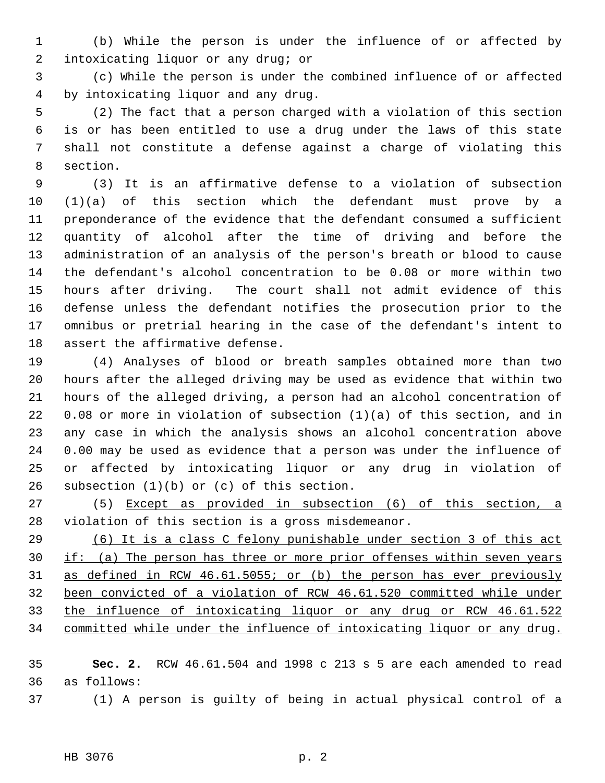(b) While the person is under the influence of or affected by intoxicating liquor or any drug; or

 (c) While the person is under the combined influence of or affected by intoxicating liquor and any drug.

 (2) The fact that a person charged with a violation of this section is or has been entitled to use a drug under the laws of this state shall not constitute a defense against a charge of violating this section.

 (3) It is an affirmative defense to a violation of subsection (1)(a) of this section which the defendant must prove by a preponderance of the evidence that the defendant consumed a sufficient quantity of alcohol after the time of driving and before the administration of an analysis of the person's breath or blood to cause the defendant's alcohol concentration to be 0.08 or more within two hours after driving. The court shall not admit evidence of this defense unless the defendant notifies the prosecution prior to the omnibus or pretrial hearing in the case of the defendant's intent to assert the affirmative defense.

 (4) Analyses of blood or breath samples obtained more than two hours after the alleged driving may be used as evidence that within two hours of the alleged driving, a person had an alcohol concentration of 0.08 or more in violation of subsection (1)(a) of this section, and in any case in which the analysis shows an alcohol concentration above 0.00 may be used as evidence that a person was under the influence of or affected by intoxicating liquor or any drug in violation of subsection (1)(b) or (c) of this section.

 (5) Except as provided in subsection (6) of this section, a violation of this section is a gross misdemeanor.

 (6) It is a class C felony punishable under section 3 of this act 30 if: (a) The person has three or more prior offenses within seven years as defined in RCW 46.61.5055; or (b) the person has ever previously been convicted of a violation of RCW 46.61.520 committed while under the influence of intoxicating liquor or any drug or RCW 46.61.522 committed while under the influence of intoxicating liquor or any drug.

 **Sec. 2.** RCW 46.61.504 and 1998 c 213 s 5 are each amended to read as follows:

(1) A person is guilty of being in actual physical control of a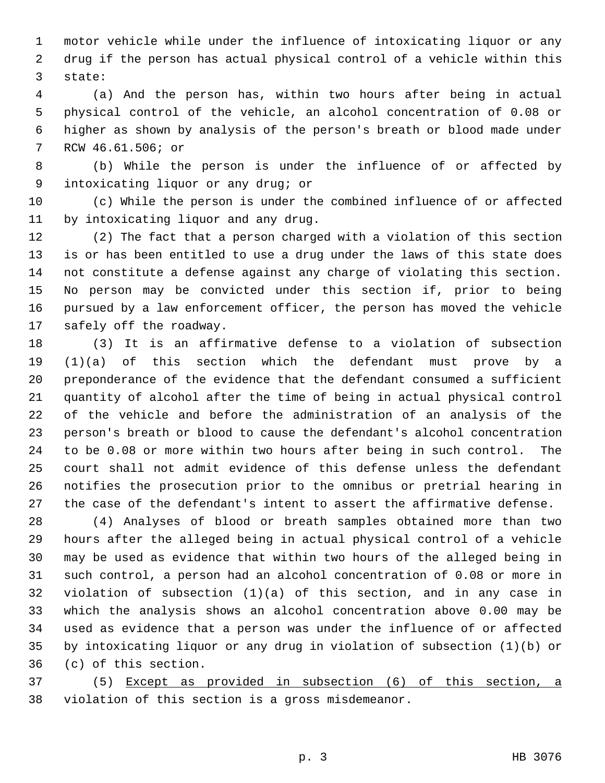motor vehicle while under the influence of intoxicating liquor or any drug if the person has actual physical control of a vehicle within this state:

 (a) And the person has, within two hours after being in actual physical control of the vehicle, an alcohol concentration of 0.08 or higher as shown by analysis of the person's breath or blood made under RCW 46.61.506; or

 (b) While the person is under the influence of or affected by intoxicating liquor or any drug; or

 (c) While the person is under the combined influence of or affected by intoxicating liquor and any drug.

 (2) The fact that a person charged with a violation of this section is or has been entitled to use a drug under the laws of this state does not constitute a defense against any charge of violating this section. No person may be convicted under this section if, prior to being pursued by a law enforcement officer, the person has moved the vehicle safely off the roadway.

 (3) It is an affirmative defense to a violation of subsection (1)(a) of this section which the defendant must prove by a preponderance of the evidence that the defendant consumed a sufficient quantity of alcohol after the time of being in actual physical control of the vehicle and before the administration of an analysis of the person's breath or blood to cause the defendant's alcohol concentration to be 0.08 or more within two hours after being in such control. The court shall not admit evidence of this defense unless the defendant notifies the prosecution prior to the omnibus or pretrial hearing in the case of the defendant's intent to assert the affirmative defense.

 (4) Analyses of blood or breath samples obtained more than two hours after the alleged being in actual physical control of a vehicle may be used as evidence that within two hours of the alleged being in such control, a person had an alcohol concentration of 0.08 or more in violation of subsection (1)(a) of this section, and in any case in which the analysis shows an alcohol concentration above 0.00 may be used as evidence that a person was under the influence of or affected by intoxicating liquor or any drug in violation of subsection (1)(b) or (c) of this section.

 (5) Except as provided in subsection (6) of this section, a violation of this section is a gross misdemeanor.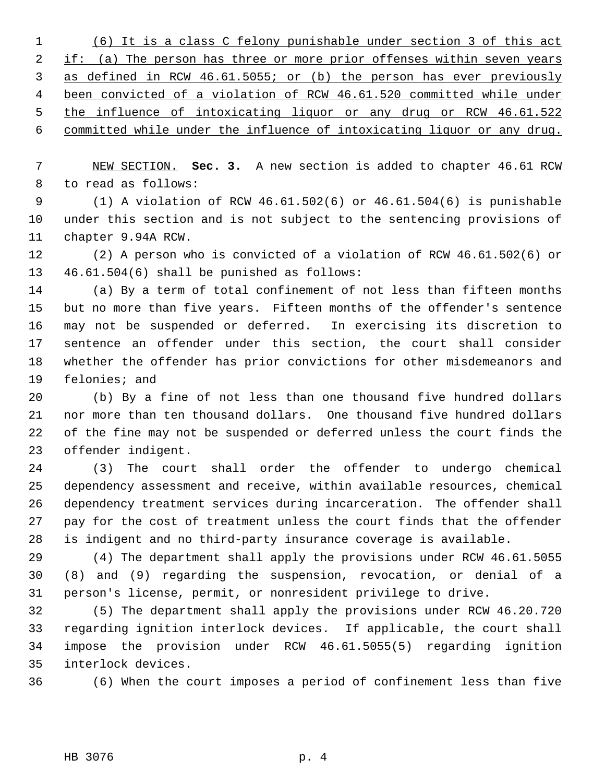(6) It is a class C felony punishable under section 3 of this act 2 if: (a) The person has three or more prior offenses within seven years as defined in RCW 46.61.5055; or (b) the person has ever previously been convicted of a violation of RCW 46.61.520 committed while under 5 the influence of intoxicating liquor or any drug or RCW 46.61.522 committed while under the influence of intoxicating liquor or any drug.

 NEW SECTION. **Sec. 3.** A new section is added to chapter 46.61 RCW to read as follows:

 (1) A violation of RCW 46.61.502(6) or 46.61.504(6) is punishable under this section and is not subject to the sentencing provisions of chapter 9.94A RCW.

 (2) A person who is convicted of a violation of RCW 46.61.502(6) or 46.61.504(6) shall be punished as follows:

 (a) By a term of total confinement of not less than fifteen months but no more than five years. Fifteen months of the offender's sentence may not be suspended or deferred. In exercising its discretion to sentence an offender under this section, the court shall consider whether the offender has prior convictions for other misdemeanors and felonies; and

 (b) By a fine of not less than one thousand five hundred dollars nor more than ten thousand dollars. One thousand five hundred dollars of the fine may not be suspended or deferred unless the court finds the offender indigent.

 (3) The court shall order the offender to undergo chemical dependency assessment and receive, within available resources, chemical dependency treatment services during incarceration. The offender shall pay for the cost of treatment unless the court finds that the offender is indigent and no third-party insurance coverage is available.

 (4) The department shall apply the provisions under RCW 46.61.5055 (8) and (9) regarding the suspension, revocation, or denial of a person's license, permit, or nonresident privilege to drive.

 (5) The department shall apply the provisions under RCW 46.20.720 regarding ignition interlock devices. If applicable, the court shall impose the provision under RCW 46.61.5055(5) regarding ignition interlock devices.

(6) When the court imposes a period of confinement less than five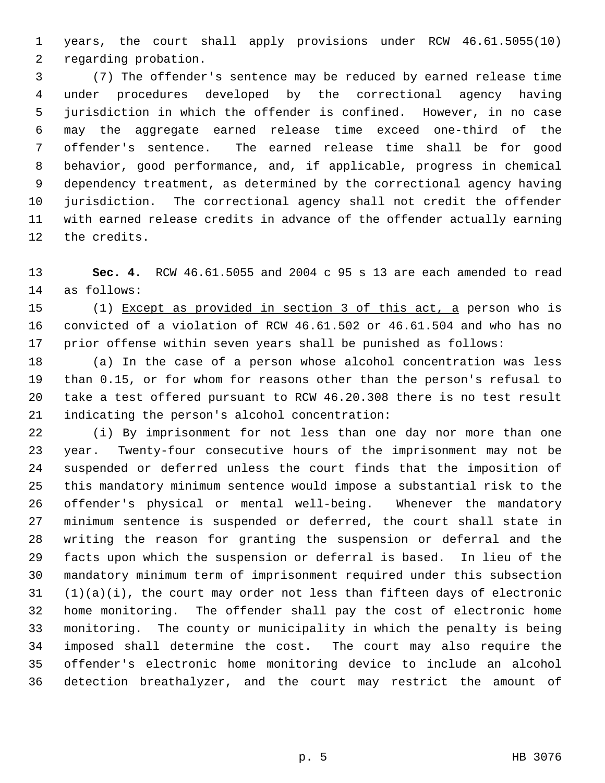years, the court shall apply provisions under RCW 46.61.5055(10) regarding probation.

 (7) The offender's sentence may be reduced by earned release time under procedures developed by the correctional agency having jurisdiction in which the offender is confined. However, in no case may the aggregate earned release time exceed one-third of the offender's sentence. The earned release time shall be for good behavior, good performance, and, if applicable, progress in chemical dependency treatment, as determined by the correctional agency having jurisdiction. The correctional agency shall not credit the offender with earned release credits in advance of the offender actually earning the credits.

 **Sec. 4.** RCW 46.61.5055 and 2004 c 95 s 13 are each amended to read as follows:

 (1) Except as provided in section 3 of this act, a person who is convicted of a violation of RCW 46.61.502 or 46.61.504 and who has no prior offense within seven years shall be punished as follows:

 (a) In the case of a person whose alcohol concentration was less than 0.15, or for whom for reasons other than the person's refusal to take a test offered pursuant to RCW 46.20.308 there is no test result indicating the person's alcohol concentration:

 (i) By imprisonment for not less than one day nor more than one year. Twenty-four consecutive hours of the imprisonment may not be suspended or deferred unless the court finds that the imposition of this mandatory minimum sentence would impose a substantial risk to the offender's physical or mental well-being. Whenever the mandatory minimum sentence is suspended or deferred, the court shall state in writing the reason for granting the suspension or deferral and the facts upon which the suspension or deferral is based. In lieu of the mandatory minimum term of imprisonment required under this subsection (1)(a)(i), the court may order not less than fifteen days of electronic home monitoring. The offender shall pay the cost of electronic home monitoring. The county or municipality in which the penalty is being imposed shall determine the cost. The court may also require the offender's electronic home monitoring device to include an alcohol detection breathalyzer, and the court may restrict the amount of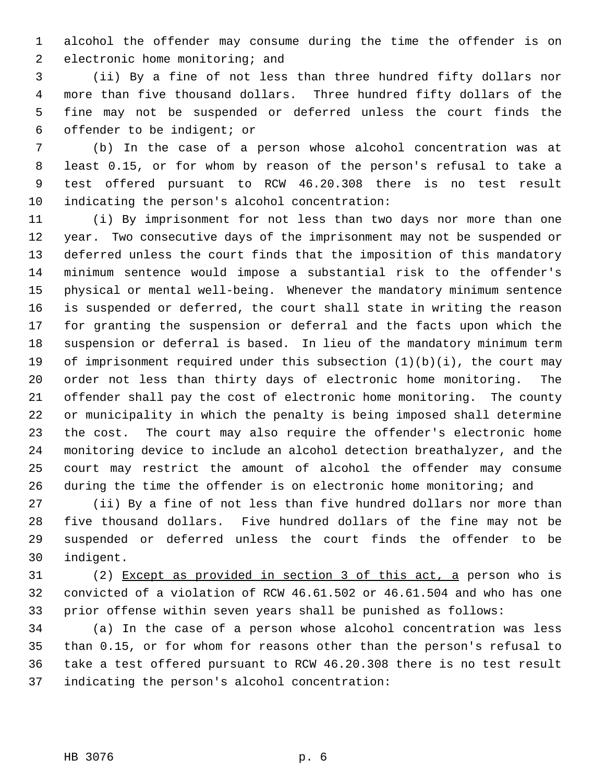alcohol the offender may consume during the time the offender is on electronic home monitoring; and

 (ii) By a fine of not less than three hundred fifty dollars nor more than five thousand dollars. Three hundred fifty dollars of the fine may not be suspended or deferred unless the court finds the offender to be indigent; or

 (b) In the case of a person whose alcohol concentration was at least 0.15, or for whom by reason of the person's refusal to take a test offered pursuant to RCW 46.20.308 there is no test result indicating the person's alcohol concentration:

 (i) By imprisonment for not less than two days nor more than one year. Two consecutive days of the imprisonment may not be suspended or deferred unless the court finds that the imposition of this mandatory minimum sentence would impose a substantial risk to the offender's physical or mental well-being. Whenever the mandatory minimum sentence is suspended or deferred, the court shall state in writing the reason for granting the suspension or deferral and the facts upon which the suspension or deferral is based. In lieu of the mandatory minimum term of imprisonment required under this subsection (1)(b)(i), the court may order not less than thirty days of electronic home monitoring. The offender shall pay the cost of electronic home monitoring. The county or municipality in which the penalty is being imposed shall determine the cost. The court may also require the offender's electronic home monitoring device to include an alcohol detection breathalyzer, and the court may restrict the amount of alcohol the offender may consume during the time the offender is on electronic home monitoring; and

 (ii) By a fine of not less than five hundred dollars nor more than five thousand dollars. Five hundred dollars of the fine may not be suspended or deferred unless the court finds the offender to be indigent.

 (2) Except as provided in section 3 of this act, a person who is convicted of a violation of RCW 46.61.502 or 46.61.504 and who has one prior offense within seven years shall be punished as follows:

 (a) In the case of a person whose alcohol concentration was less than 0.15, or for whom for reasons other than the person's refusal to take a test offered pursuant to RCW 46.20.308 there is no test result indicating the person's alcohol concentration: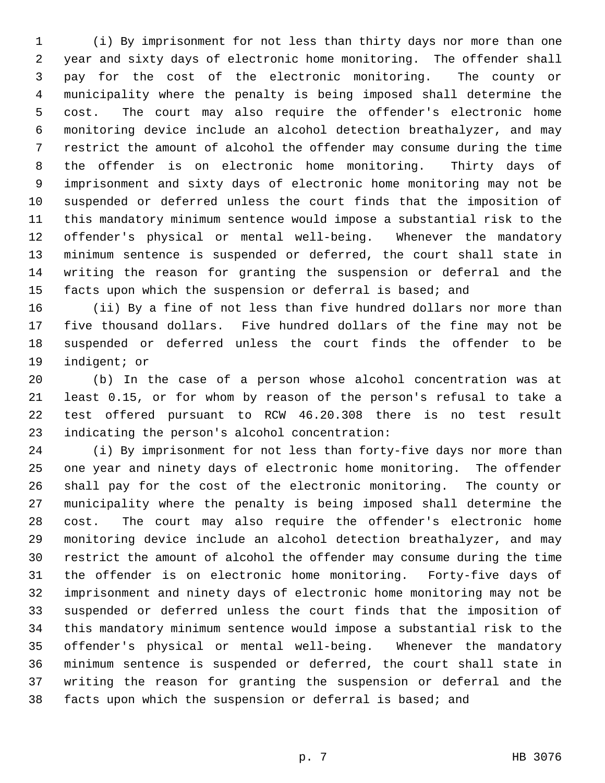(i) By imprisonment for not less than thirty days nor more than one year and sixty days of electronic home monitoring. The offender shall pay for the cost of the electronic monitoring. The county or municipality where the penalty is being imposed shall determine the cost. The court may also require the offender's electronic home monitoring device include an alcohol detection breathalyzer, and may restrict the amount of alcohol the offender may consume during the time the offender is on electronic home monitoring. Thirty days of imprisonment and sixty days of electronic home monitoring may not be suspended or deferred unless the court finds that the imposition of this mandatory minimum sentence would impose a substantial risk to the offender's physical or mental well-being. Whenever the mandatory minimum sentence is suspended or deferred, the court shall state in writing the reason for granting the suspension or deferral and the 15 facts upon which the suspension or deferral is based; and

 (ii) By a fine of not less than five hundred dollars nor more than five thousand dollars. Five hundred dollars of the fine may not be suspended or deferred unless the court finds the offender to be indigent; or

 (b) In the case of a person whose alcohol concentration was at least 0.15, or for whom by reason of the person's refusal to take a test offered pursuant to RCW 46.20.308 there is no test result indicating the person's alcohol concentration:

 (i) By imprisonment for not less than forty-five days nor more than one year and ninety days of electronic home monitoring. The offender shall pay for the cost of the electronic monitoring. The county or municipality where the penalty is being imposed shall determine the cost. The court may also require the offender's electronic home monitoring device include an alcohol detection breathalyzer, and may restrict the amount of alcohol the offender may consume during the time the offender is on electronic home monitoring. Forty-five days of imprisonment and ninety days of electronic home monitoring may not be suspended or deferred unless the court finds that the imposition of this mandatory minimum sentence would impose a substantial risk to the offender's physical or mental well-being. Whenever the mandatory minimum sentence is suspended or deferred, the court shall state in writing the reason for granting the suspension or deferral and the facts upon which the suspension or deferral is based; and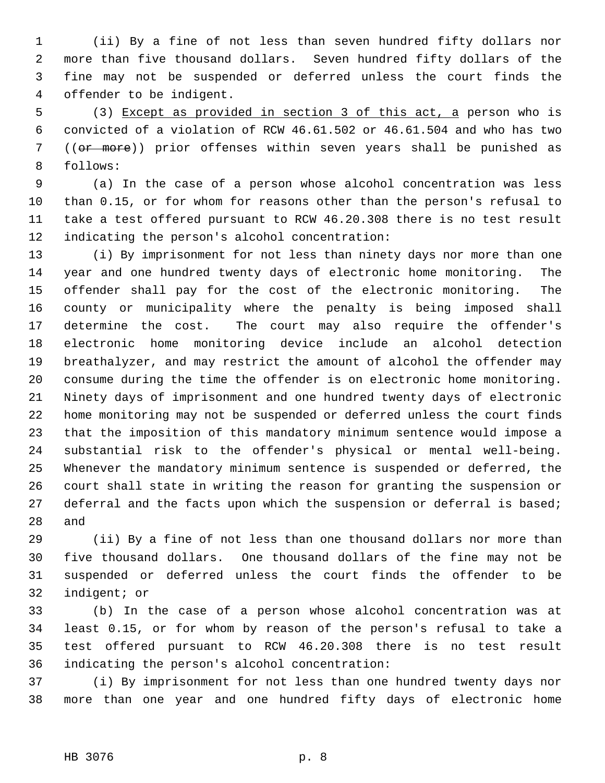(ii) By a fine of not less than seven hundred fifty dollars nor more than five thousand dollars. Seven hundred fifty dollars of the fine may not be suspended or deferred unless the court finds the offender to be indigent.

 (3) Except as provided in section 3 of this act, a person who is convicted of a violation of RCW 46.61.502 or 46.61.504 and who has two 7 ((or more)) prior offenses within seven years shall be punished as follows:

 (a) In the case of a person whose alcohol concentration was less than 0.15, or for whom for reasons other than the person's refusal to take a test offered pursuant to RCW 46.20.308 there is no test result indicating the person's alcohol concentration:

 (i) By imprisonment for not less than ninety days nor more than one year and one hundred twenty days of electronic home monitoring. The offender shall pay for the cost of the electronic monitoring. The county or municipality where the penalty is being imposed shall determine the cost. The court may also require the offender's electronic home monitoring device include an alcohol detection breathalyzer, and may restrict the amount of alcohol the offender may consume during the time the offender is on electronic home monitoring. Ninety days of imprisonment and one hundred twenty days of electronic home monitoring may not be suspended or deferred unless the court finds that the imposition of this mandatory minimum sentence would impose a substantial risk to the offender's physical or mental well-being. Whenever the mandatory minimum sentence is suspended or deferred, the court shall state in writing the reason for granting the suspension or 27 deferral and the facts upon which the suspension or deferral is based; and

 (ii) By a fine of not less than one thousand dollars nor more than five thousand dollars. One thousand dollars of the fine may not be suspended or deferred unless the court finds the offender to be indigent; or

 (b) In the case of a person whose alcohol concentration was at least 0.15, or for whom by reason of the person's refusal to take a test offered pursuant to RCW 46.20.308 there is no test result indicating the person's alcohol concentration:

 (i) By imprisonment for not less than one hundred twenty days nor more than one year and one hundred fifty days of electronic home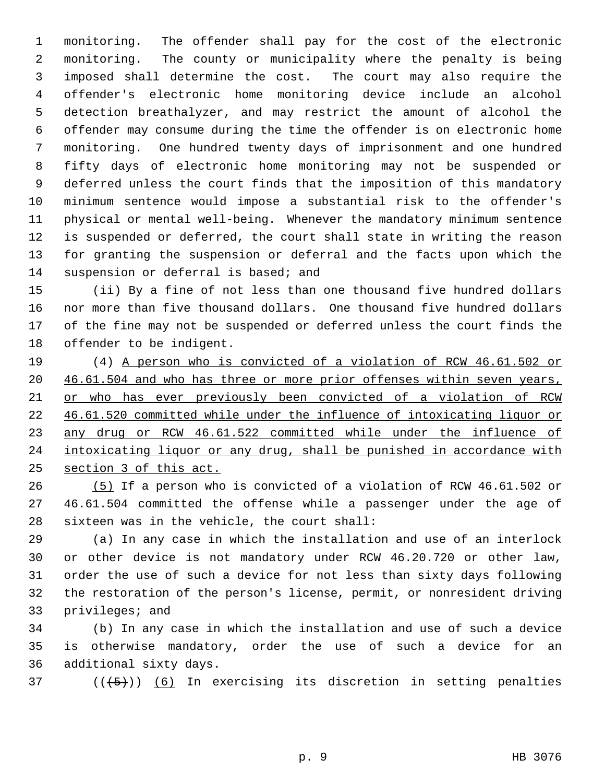monitoring. The offender shall pay for the cost of the electronic monitoring. The county or municipality where the penalty is being imposed shall determine the cost. The court may also require the offender's electronic home monitoring device include an alcohol detection breathalyzer, and may restrict the amount of alcohol the offender may consume during the time the offender is on electronic home monitoring. One hundred twenty days of imprisonment and one hundred fifty days of electronic home monitoring may not be suspended or deferred unless the court finds that the imposition of this mandatory minimum sentence would impose a substantial risk to the offender's physical or mental well-being. Whenever the mandatory minimum sentence is suspended or deferred, the court shall state in writing the reason for granting the suspension or deferral and the facts upon which the 14 suspension or deferral is based; and

 (ii) By a fine of not less than one thousand five hundred dollars nor more than five thousand dollars. One thousand five hundred dollars of the fine may not be suspended or deferred unless the court finds the offender to be indigent.

 (4) A person who is convicted of a violation of RCW 46.61.502 or 20 46.61.504 and who has three or more prior offenses within seven years, or who has ever previously been convicted of a violation of RCW 46.61.520 committed while under the influence of intoxicating liquor or any drug or RCW 46.61.522 committed while under the influence of 24 intoxicating liquor or any drug, shall be punished in accordance with section 3 of this act.

 (5) If a person who is convicted of a violation of RCW 46.61.502 or 46.61.504 committed the offense while a passenger under the age of sixteen was in the vehicle, the court shall:

 (a) In any case in which the installation and use of an interlock or other device is not mandatory under RCW 46.20.720 or other law, order the use of such a device for not less than sixty days following the restoration of the person's license, permit, or nonresident driving privileges; and

 (b) In any case in which the installation and use of such a device is otherwise mandatory, order the use of such a device for an additional sixty days.

( $(\overline{5})$ ) (6) In exercising its discretion in setting penalties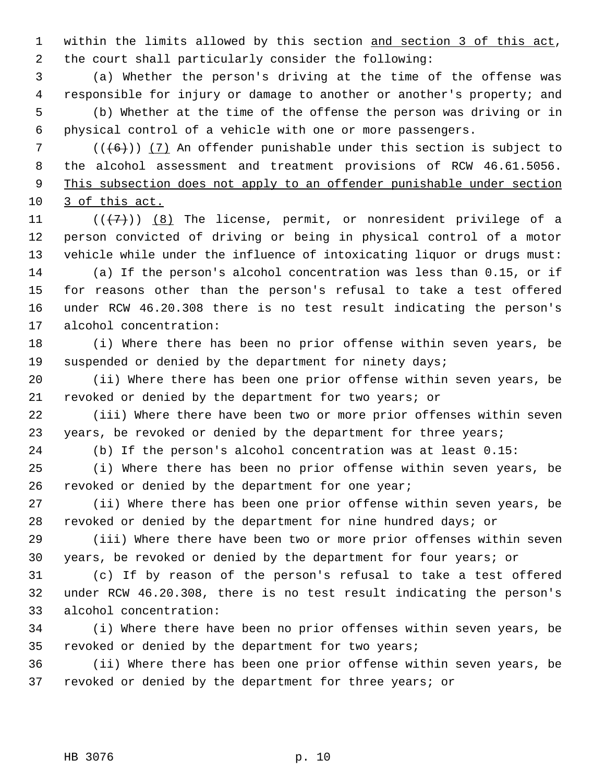within the limits allowed by this section and section 3 of this act, the court shall particularly consider the following:

 (a) Whether the person's driving at the time of the offense was responsible for injury or damage to another or another's property; and (b) Whether at the time of the offense the person was driving or in physical control of a vehicle with one or more passengers.

 $((+6))$  (7) An offender punishable under this section is subject to the alcohol assessment and treatment provisions of RCW 46.61.5056. 9 This subsection does not apply to an offender punishable under section 3 of this act.

 $((+7)^{n})$  (8) The license, permit, or nonresident privilege of a person convicted of driving or being in physical control of a motor vehicle while under the influence of intoxicating liquor or drugs must: (a) If the person's alcohol concentration was less than 0.15, or if

 for reasons other than the person's refusal to take a test offered under RCW 46.20.308 there is no test result indicating the person's alcohol concentration:

 (i) Where there has been no prior offense within seven years, be 19 suspended or denied by the department for ninety days;

 (ii) Where there has been one prior offense within seven years, be revoked or denied by the department for two years; or

 (iii) Where there have been two or more prior offenses within seven 23 years, be revoked or denied by the department for three years;

(b) If the person's alcohol concentration was at least 0.15:

 (i) Where there has been no prior offense within seven years, be revoked or denied by the department for one year;

 (ii) Where there has been one prior offense within seven years, be revoked or denied by the department for nine hundred days; or

 (iii) Where there have been two or more prior offenses within seven years, be revoked or denied by the department for four years; or

 (c) If by reason of the person's refusal to take a test offered under RCW 46.20.308, there is no test result indicating the person's alcohol concentration:

 (i) Where there have been no prior offenses within seven years, be revoked or denied by the department for two years;

 (ii) Where there has been one prior offense within seven years, be revoked or denied by the department for three years; or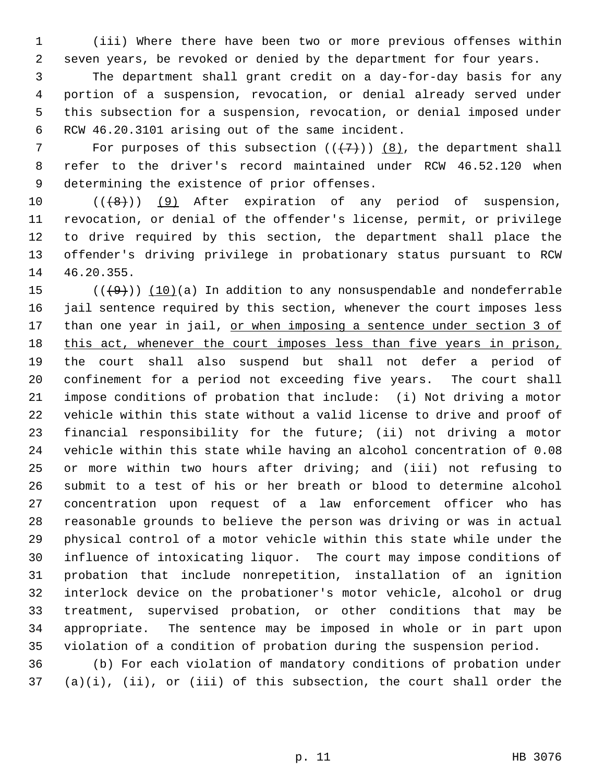(iii) Where there have been two or more previous offenses within seven years, be revoked or denied by the department for four years.

 The department shall grant credit on a day-for-day basis for any portion of a suspension, revocation, or denial already served under this subsection for a suspension, revocation, or denial imposed under RCW 46.20.3101 arising out of the same incident.

7 For purposes of this subsection  $((+7))$   $(8)$ , the department shall refer to the driver's record maintained under RCW 46.52.120 when determining the existence of prior offenses.

 $((+8))$   $(9)$  After expiration of any period of suspension, revocation, or denial of the offender's license, permit, or privilege to drive required by this section, the department shall place the offender's driving privilege in probationary status pursuant to RCW 46.20.355.

 $((+9))$   $(10)(a)$  In addition to any nonsuspendable and nondeferrable jail sentence required by this section, whenever the court imposes less 17 than one year in jail, or when imposing a sentence under section 3 of 18 this act, whenever the court imposes less than five years in prison, the court shall also suspend but shall not defer a period of confinement for a period not exceeding five years. The court shall impose conditions of probation that include: (i) Not driving a motor vehicle within this state without a valid license to drive and proof of financial responsibility for the future; (ii) not driving a motor vehicle within this state while having an alcohol concentration of 0.08 or more within two hours after driving; and (iii) not refusing to submit to a test of his or her breath or blood to determine alcohol concentration upon request of a law enforcement officer who has reasonable grounds to believe the person was driving or was in actual physical control of a motor vehicle within this state while under the influence of intoxicating liquor. The court may impose conditions of probation that include nonrepetition, installation of an ignition interlock device on the probationer's motor vehicle, alcohol or drug treatment, supervised probation, or other conditions that may be appropriate. The sentence may be imposed in whole or in part upon violation of a condition of probation during the suspension period.

 (b) For each violation of mandatory conditions of probation under (a)(i), (ii), or (iii) of this subsection, the court shall order the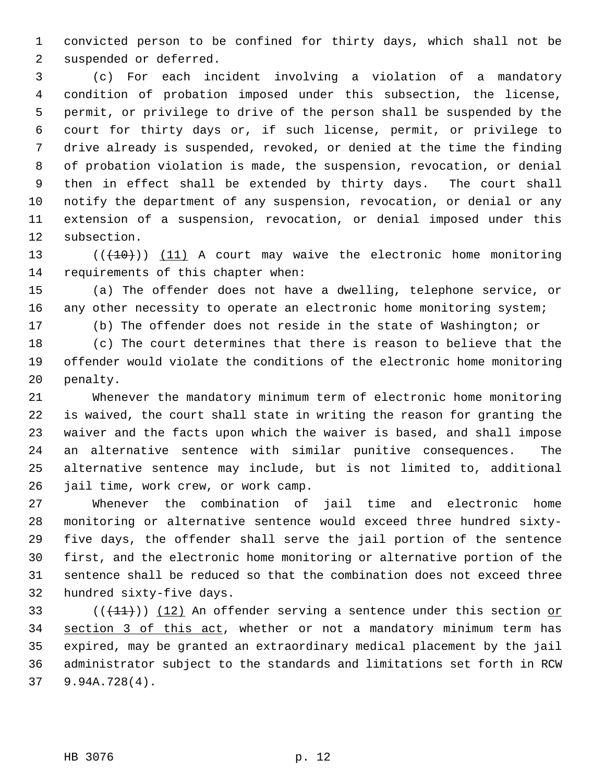convicted person to be confined for thirty days, which shall not be suspended or deferred.

 (c) For each incident involving a violation of a mandatory condition of probation imposed under this subsection, the license, permit, or privilege to drive of the person shall be suspended by the court for thirty days or, if such license, permit, or privilege to drive already is suspended, revoked, or denied at the time the finding of probation violation is made, the suspension, revocation, or denial then in effect shall be extended by thirty days. The court shall notify the department of any suspension, revocation, or denial or any extension of a suspension, revocation, or denial imposed under this subsection.

13 (( $(10)$ )) (11) A court may waive the electronic home monitoring requirements of this chapter when:

 (a) The offender does not have a dwelling, telephone service, or 16 any other necessity to operate an electronic home monitoring system;

(b) The offender does not reside in the state of Washington; or

 (c) The court determines that there is reason to believe that the offender would violate the conditions of the electronic home monitoring penalty.

 Whenever the mandatory minimum term of electronic home monitoring is waived, the court shall state in writing the reason for granting the waiver and the facts upon which the waiver is based, and shall impose an alternative sentence with similar punitive consequences. The alternative sentence may include, but is not limited to, additional jail time, work crew, or work camp.

 Whenever the combination of jail time and electronic home monitoring or alternative sentence would exceed three hundred sixty- five days, the offender shall serve the jail portion of the sentence first, and the electronic home monitoring or alternative portion of the sentence shall be reduced so that the combination does not exceed three hundred sixty-five days.

33 ( $(\frac{11}{1})$ ) (12) An offender serving a sentence under this section or section 3 of this act, whether or not a mandatory minimum term has expired, may be granted an extraordinary medical placement by the jail administrator subject to the standards and limitations set forth in RCW 9.94A.728(4).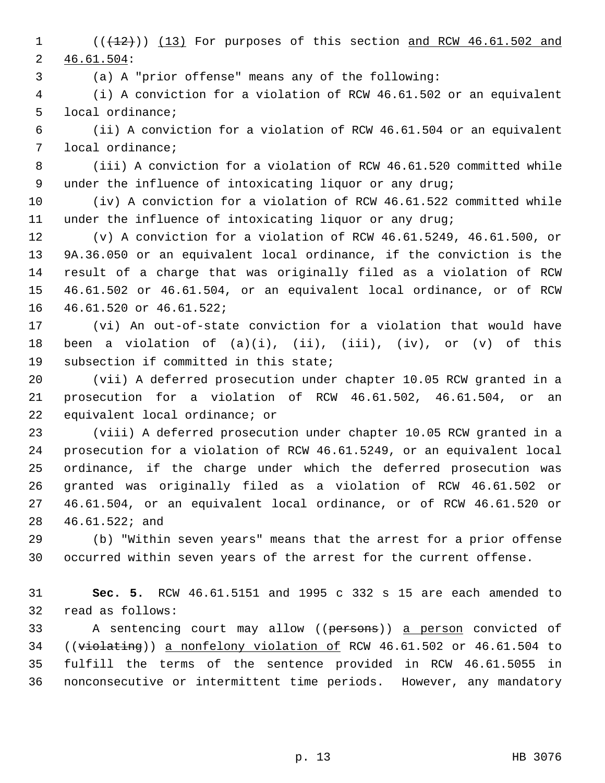(( $\left(\frac{12}{12}\right)$ ) (13) For purposes of this section and RCW 46.61.502 and 46.61.504:

(a) A "prior offense" means any of the following:

 (i) A conviction for a violation of RCW 46.61.502 or an equivalent local ordinance;

 (ii) A conviction for a violation of RCW 46.61.504 or an equivalent local ordinance;

 (iii) A conviction for a violation of RCW 46.61.520 committed while under the influence of intoxicating liquor or any drug;

 (iv) A conviction for a violation of RCW 46.61.522 committed while under the influence of intoxicating liquor or any drug;

 (v) A conviction for a violation of RCW 46.61.5249, 46.61.500, or 9A.36.050 or an equivalent local ordinance, if the conviction is the result of a charge that was originally filed as a violation of RCW 46.61.502 or 46.61.504, or an equivalent local ordinance, or of RCW 46.61.520 or 46.61.522;

 (vi) An out-of-state conviction for a violation that would have 18 been a violation of  $(a)(i)$ ,  $(ii)$ ,  $(iii)$ ,  $(iv)$ , or  $(v)$  of this subsection if committed in this state;

 (vii) A deferred prosecution under chapter 10.05 RCW granted in a prosecution for a violation of RCW 46.61.502, 46.61.504, or an equivalent local ordinance; or

 (viii) A deferred prosecution under chapter 10.05 RCW granted in a prosecution for a violation of RCW 46.61.5249, or an equivalent local ordinance, if the charge under which the deferred prosecution was granted was originally filed as a violation of RCW 46.61.502 or 46.61.504, or an equivalent local ordinance, or of RCW 46.61.520 or 46.61.522; and

 (b) "Within seven years" means that the arrest for a prior offense occurred within seven years of the arrest for the current offense.

 **Sec. 5.** RCW 46.61.5151 and 1995 c 332 s 15 are each amended to read as follows:

33 A sentencing court may allow ((persons)) a person convicted of ((violating)) a nonfelony violation of RCW 46.61.502 or 46.61.504 to fulfill the terms of the sentence provided in RCW 46.61.5055 in nonconsecutive or intermittent time periods. However, any mandatory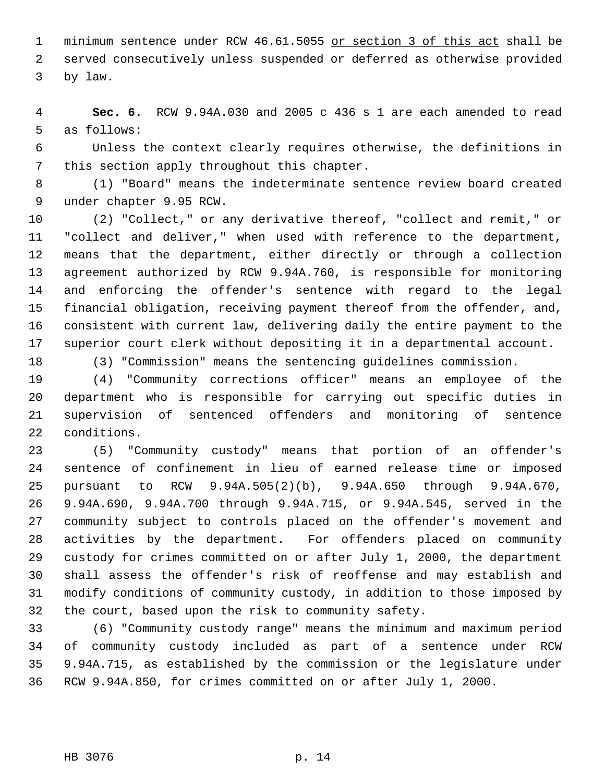1 minimum sentence under RCW 46.61.5055 or section 3 of this act shall be served consecutively unless suspended or deferred as otherwise provided by law.

 **Sec. 6.** RCW 9.94A.030 and 2005 c 436 s 1 are each amended to read as follows:

 Unless the context clearly requires otherwise, the definitions in this section apply throughout this chapter.

 (1) "Board" means the indeterminate sentence review board created under chapter 9.95 RCW.

 (2) "Collect," or any derivative thereof, "collect and remit," or "collect and deliver," when used with reference to the department, means that the department, either directly or through a collection agreement authorized by RCW 9.94A.760, is responsible for monitoring and enforcing the offender's sentence with regard to the legal financial obligation, receiving payment thereof from the offender, and, consistent with current law, delivering daily the entire payment to the superior court clerk without depositing it in a departmental account.

(3) "Commission" means the sentencing guidelines commission.

 (4) "Community corrections officer" means an employee of the department who is responsible for carrying out specific duties in supervision of sentenced offenders and monitoring of sentence conditions.

 (5) "Community custody" means that portion of an offender's sentence of confinement in lieu of earned release time or imposed pursuant to RCW 9.94A.505(2)(b), 9.94A.650 through 9.94A.670, 9.94A.690, 9.94A.700 through 9.94A.715, or 9.94A.545, served in the community subject to controls placed on the offender's movement and activities by the department. For offenders placed on community custody for crimes committed on or after July 1, 2000, the department shall assess the offender's risk of reoffense and may establish and modify conditions of community custody, in addition to those imposed by the court, based upon the risk to community safety.

 (6) "Community custody range" means the minimum and maximum period of community custody included as part of a sentence under RCW 9.94A.715, as established by the commission or the legislature under RCW 9.94A.850, for crimes committed on or after July 1, 2000.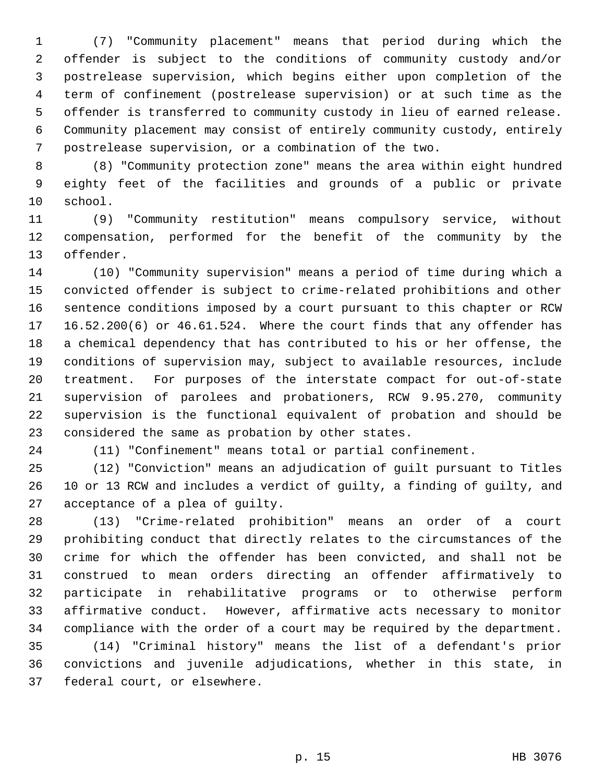(7) "Community placement" means that period during which the offender is subject to the conditions of community custody and/or postrelease supervision, which begins either upon completion of the term of confinement (postrelease supervision) or at such time as the offender is transferred to community custody in lieu of earned release. Community placement may consist of entirely community custody, entirely postrelease supervision, or a combination of the two.

 (8) "Community protection zone" means the area within eight hundred eighty feet of the facilities and grounds of a public or private school.

 (9) "Community restitution" means compulsory service, without compensation, performed for the benefit of the community by the offender.

 (10) "Community supervision" means a period of time during which a convicted offender is subject to crime-related prohibitions and other sentence conditions imposed by a court pursuant to this chapter or RCW 16.52.200(6) or 46.61.524. Where the court finds that any offender has a chemical dependency that has contributed to his or her offense, the conditions of supervision may, subject to available resources, include treatment. For purposes of the interstate compact for out-of-state supervision of parolees and probationers, RCW 9.95.270, community supervision is the functional equivalent of probation and should be considered the same as probation by other states.

(11) "Confinement" means total or partial confinement.

 (12) "Conviction" means an adjudication of guilt pursuant to Titles 10 or 13 RCW and includes a verdict of guilty, a finding of guilty, and acceptance of a plea of guilty.

 (13) "Crime-related prohibition" means an order of a court prohibiting conduct that directly relates to the circumstances of the crime for which the offender has been convicted, and shall not be construed to mean orders directing an offender affirmatively to participate in rehabilitative programs or to otherwise perform affirmative conduct. However, affirmative acts necessary to monitor compliance with the order of a court may be required by the department.

 (14) "Criminal history" means the list of a defendant's prior convictions and juvenile adjudications, whether in this state, in federal court, or elsewhere.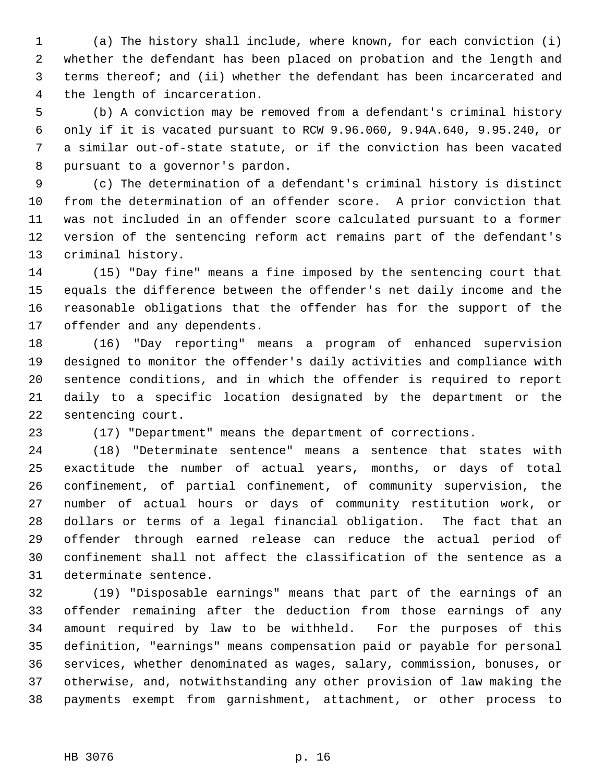(a) The history shall include, where known, for each conviction (i) whether the defendant has been placed on probation and the length and terms thereof; and (ii) whether the defendant has been incarcerated and the length of incarceration.

 (b) A conviction may be removed from a defendant's criminal history only if it is vacated pursuant to RCW 9.96.060, 9.94A.640, 9.95.240, or a similar out-of-state statute, or if the conviction has been vacated pursuant to a governor's pardon.

 (c) The determination of a defendant's criminal history is distinct from the determination of an offender score. A prior conviction that was not included in an offender score calculated pursuant to a former version of the sentencing reform act remains part of the defendant's criminal history.

 (15) "Day fine" means a fine imposed by the sentencing court that equals the difference between the offender's net daily income and the reasonable obligations that the offender has for the support of the offender and any dependents.

 (16) "Day reporting" means a program of enhanced supervision designed to monitor the offender's daily activities and compliance with sentence conditions, and in which the offender is required to report daily to a specific location designated by the department or the sentencing court.

(17) "Department" means the department of corrections.

 (18) "Determinate sentence" means a sentence that states with exactitude the number of actual years, months, or days of total confinement, of partial confinement, of community supervision, the number of actual hours or days of community restitution work, or dollars or terms of a legal financial obligation. The fact that an offender through earned release can reduce the actual period of confinement shall not affect the classification of the sentence as a determinate sentence.

 (19) "Disposable earnings" means that part of the earnings of an offender remaining after the deduction from those earnings of any amount required by law to be withheld. For the purposes of this definition, "earnings" means compensation paid or payable for personal services, whether denominated as wages, salary, commission, bonuses, or otherwise, and, notwithstanding any other provision of law making the payments exempt from garnishment, attachment, or other process to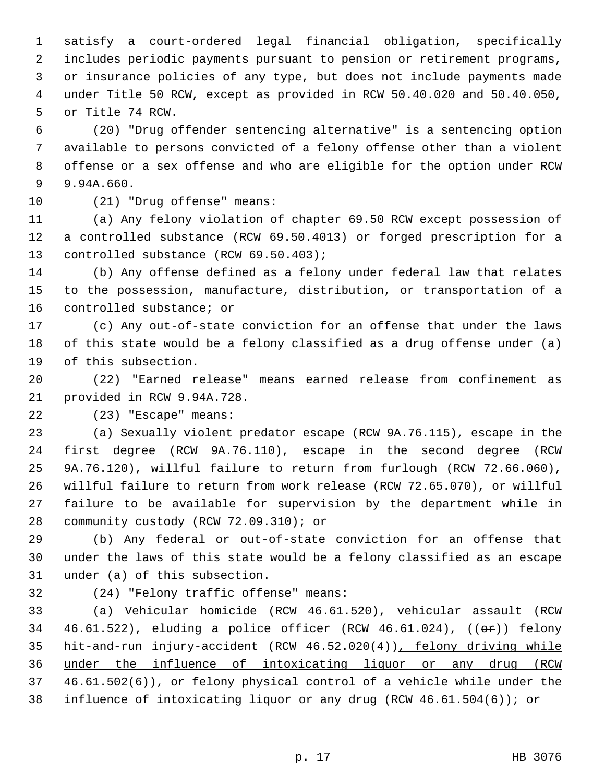satisfy a court-ordered legal financial obligation, specifically includes periodic payments pursuant to pension or retirement programs, or insurance policies of any type, but does not include payments made under Title 50 RCW, except as provided in RCW 50.40.020 and 50.40.050, or Title 74 RCW.

 (20) "Drug offender sentencing alternative" is a sentencing option available to persons convicted of a felony offense other than a violent offense or a sex offense and who are eligible for the option under RCW 9.94A.660.

(21) "Drug offense" means:

 (a) Any felony violation of chapter 69.50 RCW except possession of a controlled substance (RCW 69.50.4013) or forged prescription for a 13 controlled substance (RCW 69.50.403);

 (b) Any offense defined as a felony under federal law that relates to the possession, manufacture, distribution, or transportation of a controlled substance; or

 (c) Any out-of-state conviction for an offense that under the laws of this state would be a felony classified as a drug offense under (a) of this subsection.

 (22) "Earned release" means earned release from confinement as provided in RCW 9.94A.728.

(23) "Escape" means:

 (a) Sexually violent predator escape (RCW 9A.76.115), escape in the first degree (RCW 9A.76.110), escape in the second degree (RCW 9A.76.120), willful failure to return from furlough (RCW 72.66.060), willful failure to return from work release (RCW 72.65.070), or willful failure to be available for supervision by the department while in community custody (RCW 72.09.310); or

 (b) Any federal or out-of-state conviction for an offense that under the laws of this state would be a felony classified as an escape under (a) of this subsection.

(24) "Felony traffic offense" means:

 (a) Vehicular homicide (RCW 46.61.520), vehicular assault (RCW 34 46.61.522), eluding a police officer (RCW 46.61.024),  $((\theta \cdot \hat{\theta}))$  felony hit-and-run injury-accident (RCW 46.52.020(4)), felony driving while under the influence of intoxicating liquor or any drug (RCW 46.61.502(6)), or felony physical control of a vehicle while under the influence of intoxicating liquor or any drug (RCW 46.61.504(6)); or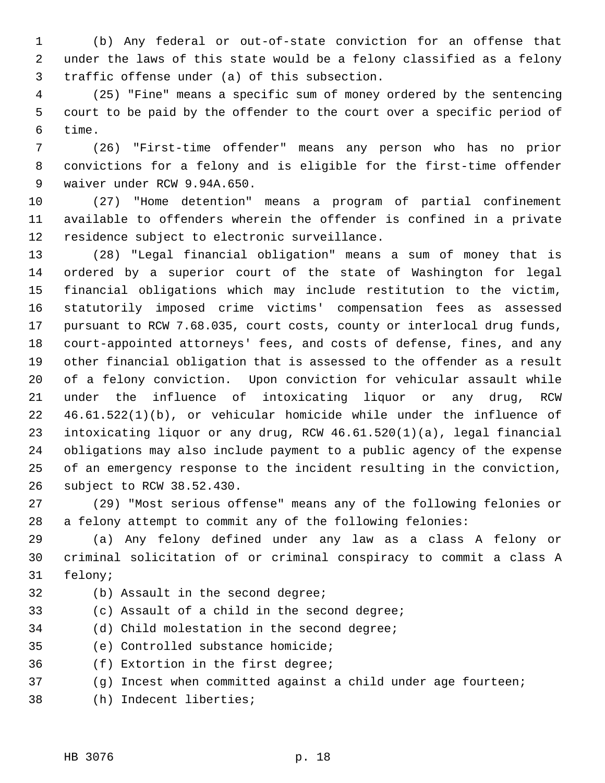(b) Any federal or out-of-state conviction for an offense that under the laws of this state would be a felony classified as a felony traffic offense under (a) of this subsection.

 (25) "Fine" means a specific sum of money ordered by the sentencing court to be paid by the offender to the court over a specific period of time.

 (26) "First-time offender" means any person who has no prior convictions for a felony and is eligible for the first-time offender waiver under RCW 9.94A.650.

 (27) "Home detention" means a program of partial confinement available to offenders wherein the offender is confined in a private residence subject to electronic surveillance.

 (28) "Legal financial obligation" means a sum of money that is ordered by a superior court of the state of Washington for legal financial obligations which may include restitution to the victim, statutorily imposed crime victims' compensation fees as assessed pursuant to RCW 7.68.035, court costs, county or interlocal drug funds, court-appointed attorneys' fees, and costs of defense, fines, and any other financial obligation that is assessed to the offender as a result of a felony conviction. Upon conviction for vehicular assault while under the influence of intoxicating liquor or any drug, RCW 46.61.522(1)(b), or vehicular homicide while under the influence of intoxicating liquor or any drug, RCW 46.61.520(1)(a), legal financial obligations may also include payment to a public agency of the expense of an emergency response to the incident resulting in the conviction, subject to RCW 38.52.430.

 (29) "Most serious offense" means any of the following felonies or a felony attempt to commit any of the following felonies:

 (a) Any felony defined under any law as a class A felony or criminal solicitation of or criminal conspiracy to commit a class A felony;

- 
- (b) Assault in the second degree;
- (c) Assault of a child in the second degree;
- (d) Child molestation in the second degree;
- (e) Controlled substance homicide;
- (f) Extortion in the first degree;
- (g) Incest when committed against a child under age fourteen;
- (h) Indecent liberties;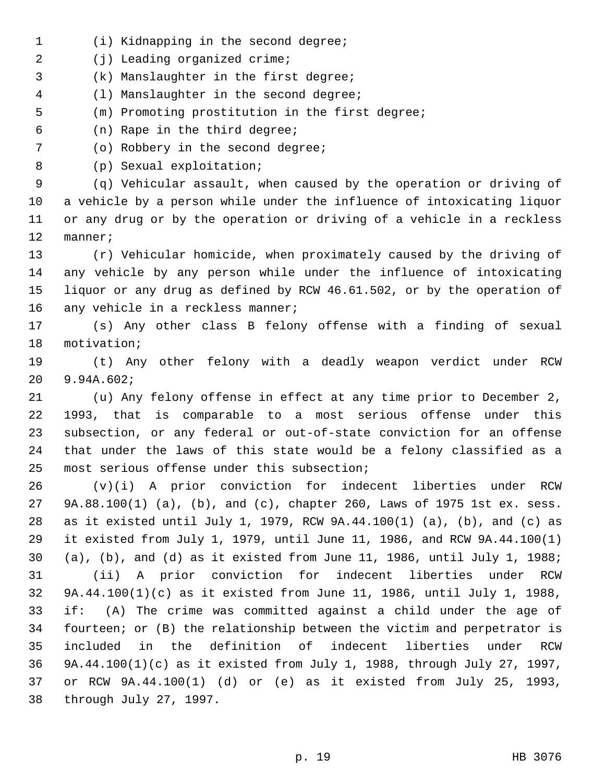- (i) Kidnapping in the second degree;
- (j) Leading organized crime;
- (k) Manslaughter in the first degree;
- (l) Manslaughter in the second degree;
- (m) Promoting prostitution in the first degree;
- (n) Rape in the third degree;
- (o) Robbery in the second degree;
- (p) Sexual exploitation;

 (q) Vehicular assault, when caused by the operation or driving of a vehicle by a person while under the influence of intoxicating liquor or any drug or by the operation or driving of a vehicle in a reckless manner;

 (r) Vehicular homicide, when proximately caused by the driving of any vehicle by any person while under the influence of intoxicating liquor or any drug as defined by RCW 46.61.502, or by the operation of 16 any vehicle in a reckless manner;

 (s) Any other class B felony offense with a finding of sexual motivation;

 (t) Any other felony with a deadly weapon verdict under RCW 9.94A.602;

 (u) Any felony offense in effect at any time prior to December 2, 1993, that is comparable to a most serious offense under this subsection, or any federal or out-of-state conviction for an offense that under the laws of this state would be a felony classified as a most serious offense under this subsection;

 (v)(i) A prior conviction for indecent liberties under RCW 9A.88.100(1) (a), (b), and (c), chapter 260, Laws of 1975 1st ex. sess. as it existed until July 1, 1979, RCW 9A.44.100(1) (a), (b), and (c) as it existed from July 1, 1979, until June 11, 1986, and RCW 9A.44.100(1) (a), (b), and (d) as it existed from June 11, 1986, until July 1, 1988; (ii) A prior conviction for indecent liberties under RCW 9A.44.100(1)(c) as it existed from June 11, 1986, until July 1, 1988, if: (A) The crime was committed against a child under the age of fourteen; or (B) the relationship between the victim and perpetrator is included in the definition of indecent liberties under RCW 9A.44.100(1)(c) as it existed from July 1, 1988, through July 27, 1997, or RCW 9A.44.100(1) (d) or (e) as it existed from July 25, 1993, through July 27, 1997.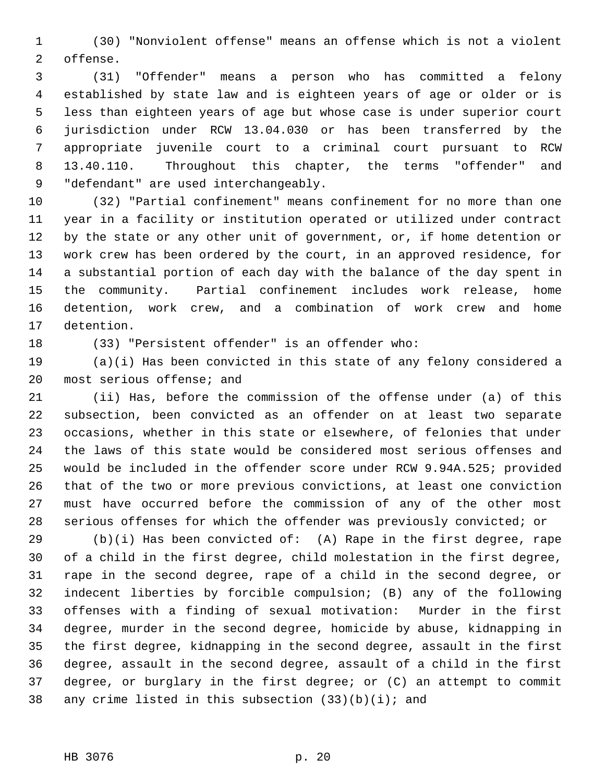(30) "Nonviolent offense" means an offense which is not a violent offense.

 (31) "Offender" means a person who has committed a felony established by state law and is eighteen years of age or older or is less than eighteen years of age but whose case is under superior court jurisdiction under RCW 13.04.030 or has been transferred by the appropriate juvenile court to a criminal court pursuant to RCW 13.40.110. Throughout this chapter, the terms "offender" and "defendant" are used interchangeably.

 (32) "Partial confinement" means confinement for no more than one year in a facility or institution operated or utilized under contract by the state or any other unit of government, or, if home detention or work crew has been ordered by the court, in an approved residence, for a substantial portion of each day with the balance of the day spent in the community. Partial confinement includes work release, home detention, work crew, and a combination of work crew and home detention.

(33) "Persistent offender" is an offender who:

 (a)(i) Has been convicted in this state of any felony considered a most serious offense; and

 (ii) Has, before the commission of the offense under (a) of this subsection, been convicted as an offender on at least two separate occasions, whether in this state or elsewhere, of felonies that under the laws of this state would be considered most serious offenses and would be included in the offender score under RCW 9.94A.525; provided that of the two or more previous convictions, at least one conviction must have occurred before the commission of any of the other most serious offenses for which the offender was previously convicted; or

 (b)(i) Has been convicted of: (A) Rape in the first degree, rape of a child in the first degree, child molestation in the first degree, rape in the second degree, rape of a child in the second degree, or indecent liberties by forcible compulsion; (B) any of the following offenses with a finding of sexual motivation: Murder in the first degree, murder in the second degree, homicide by abuse, kidnapping in the first degree, kidnapping in the second degree, assault in the first degree, assault in the second degree, assault of a child in the first degree, or burglary in the first degree; or (C) an attempt to commit 38 any crime listed in this subsection  $(33)(b)(i)$ ; and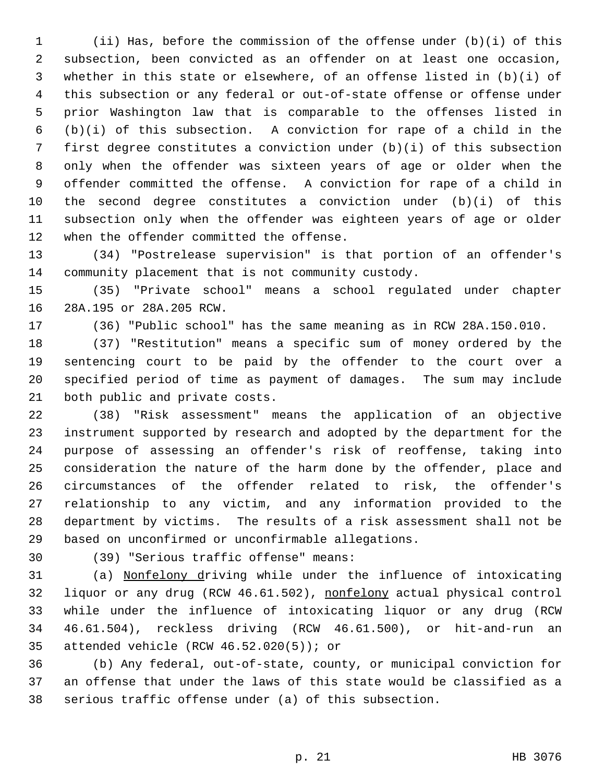(ii) Has, before the commission of the offense under (b)(i) of this subsection, been convicted as an offender on at least one occasion, whether in this state or elsewhere, of an offense listed in (b)(i) of this subsection or any federal or out-of-state offense or offense under prior Washington law that is comparable to the offenses listed in (b)(i) of this subsection. A conviction for rape of a child in the first degree constitutes a conviction under (b)(i) of this subsection only when the offender was sixteen years of age or older when the offender committed the offense. A conviction for rape of a child in the second degree constitutes a conviction under (b)(i) of this subsection only when the offender was eighteen years of age or older when the offender committed the offense.

 (34) "Postrelease supervision" is that portion of an offender's community placement that is not community custody.

 (35) "Private school" means a school regulated under chapter 28A.195 or 28A.205 RCW.

(36) "Public school" has the same meaning as in RCW 28A.150.010.

 (37) "Restitution" means a specific sum of money ordered by the sentencing court to be paid by the offender to the court over a specified period of time as payment of damages. The sum may include both public and private costs.

 (38) "Risk assessment" means the application of an objective instrument supported by research and adopted by the department for the purpose of assessing an offender's risk of reoffense, taking into consideration the nature of the harm done by the offender, place and circumstances of the offender related to risk, the offender's relationship to any victim, and any information provided to the department by victims. The results of a risk assessment shall not be based on unconfirmed or unconfirmable allegations.

(39) "Serious traffic offense" means:

 (a) Nonfelony driving while under the influence of intoxicating liquor or any drug (RCW 46.61.502), nonfelony actual physical control while under the influence of intoxicating liquor or any drug (RCW 46.61.504), reckless driving (RCW 46.61.500), or hit-and-run an attended vehicle (RCW 46.52.020(5)); or

 (b) Any federal, out-of-state, county, or municipal conviction for an offense that under the laws of this state would be classified as a serious traffic offense under (a) of this subsection.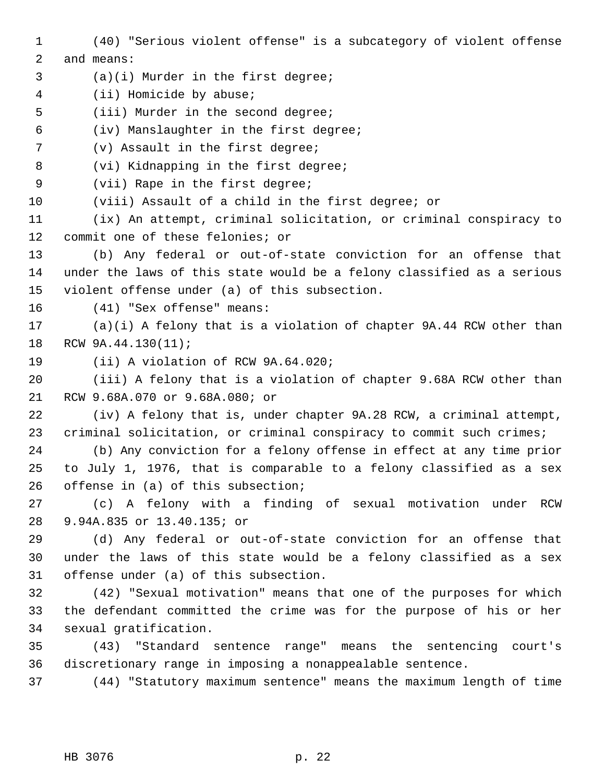(40) "Serious violent offense" is a subcategory of violent offense and means: (a)(i) Murder in the first degree; (ii) Homicide by abuse; (iii) Murder in the second degree; (iv) Manslaughter in the first degree; (v) Assault in the first degree; (vi) Kidnapping in the first degree; (vii) Rape in the first degree; (viii) Assault of a child in the first degree; or (ix) An attempt, criminal solicitation, or criminal conspiracy to commit one of these felonies; or (b) Any federal or out-of-state conviction for an offense that under the laws of this state would be a felony classified as a serious violent offense under (a) of this subsection. (41) "Sex offense" means: (a)(i) A felony that is a violation of chapter 9A.44 RCW other than RCW 9A.44.130(11); (ii) A violation of RCW 9A.64.020; (iii) A felony that is a violation of chapter 9.68A RCW other than RCW 9.68A.070 or 9.68A.080; or (iv) A felony that is, under chapter 9A.28 RCW, a criminal attempt, criminal solicitation, or criminal conspiracy to commit such crimes; (b) Any conviction for a felony offense in effect at any time prior to July 1, 1976, that is comparable to a felony classified as a sex offense in (a) of this subsection; (c) A felony with a finding of sexual motivation under RCW 9.94A.835 or 13.40.135; or (d) Any federal or out-of-state conviction for an offense that under the laws of this state would be a felony classified as a sex offense under (a) of this subsection. (42) "Sexual motivation" means that one of the purposes for which the defendant committed the crime was for the purpose of his or her sexual gratification. (43) "Standard sentence range" means the sentencing court's discretionary range in imposing a nonappealable sentence. (44) "Statutory maximum sentence" means the maximum length of time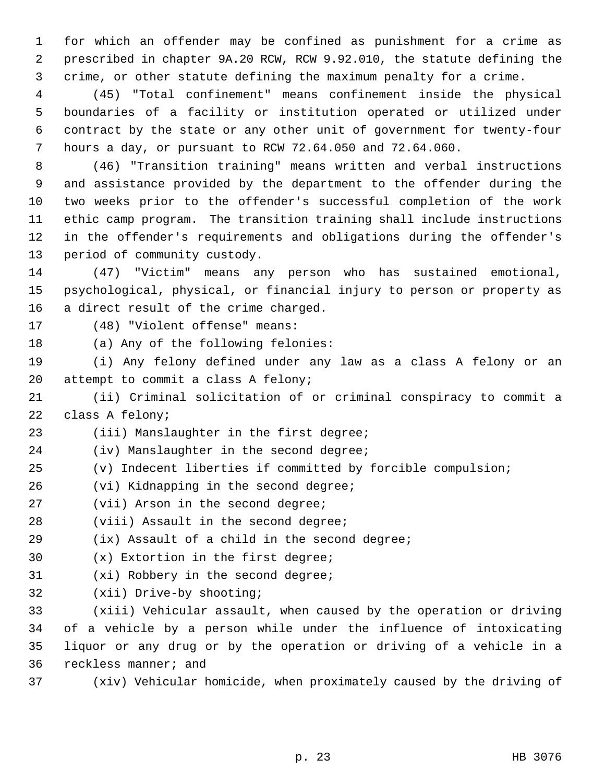for which an offender may be confined as punishment for a crime as prescribed in chapter 9A.20 RCW, RCW 9.92.010, the statute defining the crime, or other statute defining the maximum penalty for a crime.

 (45) "Total confinement" means confinement inside the physical boundaries of a facility or institution operated or utilized under contract by the state or any other unit of government for twenty-four hours a day, or pursuant to RCW 72.64.050 and 72.64.060.

 (46) "Transition training" means written and verbal instructions and assistance provided by the department to the offender during the two weeks prior to the offender's successful completion of the work ethic camp program. The transition training shall include instructions in the offender's requirements and obligations during the offender's period of community custody.

 (47) "Victim" means any person who has sustained emotional, psychological, physical, or financial injury to person or property as a direct result of the crime charged.

(48) "Violent offense" means:

(a) Any of the following felonies:

 (i) Any felony defined under any law as a class A felony or an attempt to commit a class A felony;

 (ii) Criminal solicitation of or criminal conspiracy to commit a class A felony;

(iii) Manslaughter in the first degree;

(iv) Manslaughter in the second degree;

- (v) Indecent liberties if committed by forcible compulsion;
- (vi) Kidnapping in the second degree;
- 27 (vii) Arson in the second degree;
- (viii) Assault in the second degree;
- (ix) Assault of a child in the second degree;
- (x) Extortion in the first degree;
- (xi) Robbery in the second degree;
- (xii) Drive-by shooting;

 (xiii) Vehicular assault, when caused by the operation or driving of a vehicle by a person while under the influence of intoxicating liquor or any drug or by the operation or driving of a vehicle in a reckless manner; and

(xiv) Vehicular homicide, when proximately caused by the driving of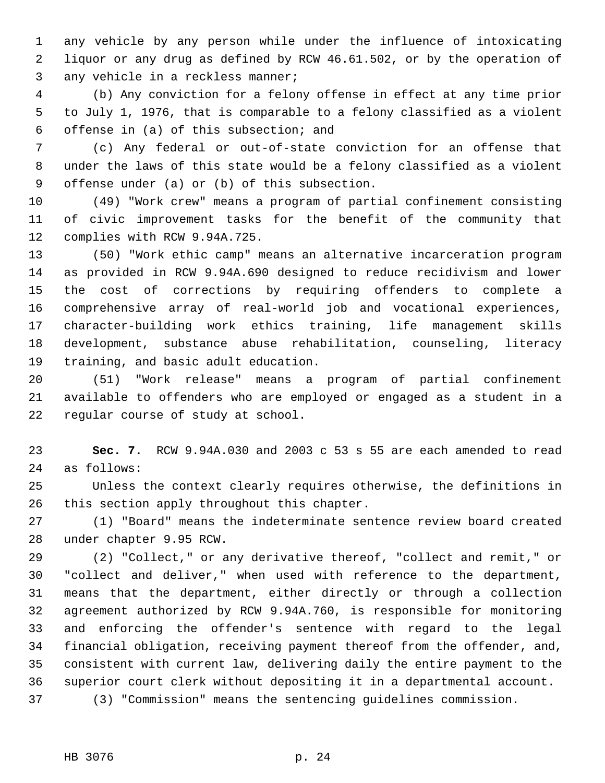any vehicle by any person while under the influence of intoxicating liquor or any drug as defined by RCW 46.61.502, or by the operation of any vehicle in a reckless manner;

 (b) Any conviction for a felony offense in effect at any time prior to July 1, 1976, that is comparable to a felony classified as a violent offense in (a) of this subsection; and

 (c) Any federal or out-of-state conviction for an offense that under the laws of this state would be a felony classified as a violent offense under (a) or (b) of this subsection.

 (49) "Work crew" means a program of partial confinement consisting of civic improvement tasks for the benefit of the community that complies with RCW 9.94A.725.

 (50) "Work ethic camp" means an alternative incarceration program as provided in RCW 9.94A.690 designed to reduce recidivism and lower the cost of corrections by requiring offenders to complete a comprehensive array of real-world job and vocational experiences, character-building work ethics training, life management skills development, substance abuse rehabilitation, counseling, literacy training, and basic adult education.

 (51) "Work release" means a program of partial confinement available to offenders who are employed or engaged as a student in a regular course of study at school.

 **Sec. 7.** RCW 9.94A.030 and 2003 c 53 s 55 are each amended to read as follows:

 Unless the context clearly requires otherwise, the definitions in this section apply throughout this chapter.

 (1) "Board" means the indeterminate sentence review board created under chapter 9.95 RCW.

 (2) "Collect," or any derivative thereof, "collect and remit," or "collect and deliver," when used with reference to the department, means that the department, either directly or through a collection agreement authorized by RCW 9.94A.760, is responsible for monitoring and enforcing the offender's sentence with regard to the legal financial obligation, receiving payment thereof from the offender, and, consistent with current law, delivering daily the entire payment to the superior court clerk without depositing it in a departmental account. (3) "Commission" means the sentencing guidelines commission.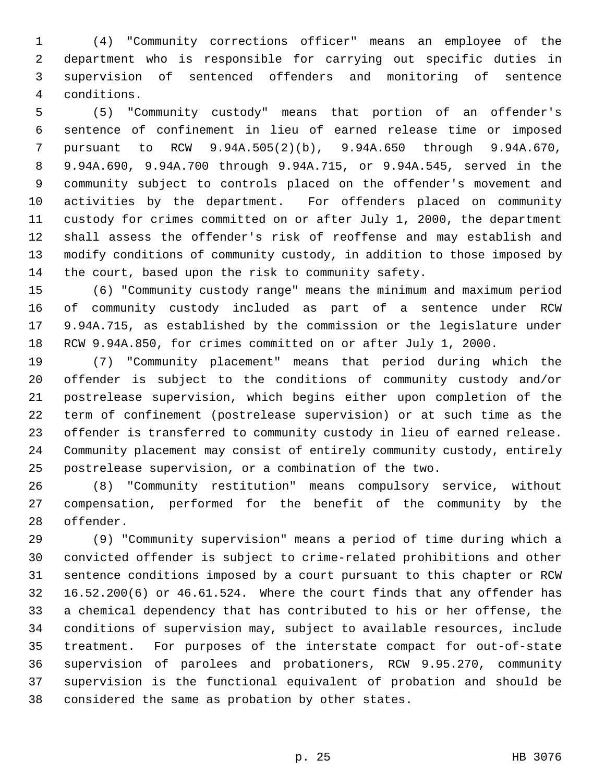(4) "Community corrections officer" means an employee of the department who is responsible for carrying out specific duties in supervision of sentenced offenders and monitoring of sentence conditions.

 (5) "Community custody" means that portion of an offender's sentence of confinement in lieu of earned release time or imposed pursuant to RCW 9.94A.505(2)(b), 9.94A.650 through 9.94A.670, 9.94A.690, 9.94A.700 through 9.94A.715, or 9.94A.545, served in the community subject to controls placed on the offender's movement and activities by the department. For offenders placed on community custody for crimes committed on or after July 1, 2000, the department shall assess the offender's risk of reoffense and may establish and modify conditions of community custody, in addition to those imposed by the court, based upon the risk to community safety.

 (6) "Community custody range" means the minimum and maximum period of community custody included as part of a sentence under RCW 9.94A.715, as established by the commission or the legislature under RCW 9.94A.850, for crimes committed on or after July 1, 2000.

 (7) "Community placement" means that period during which the offender is subject to the conditions of community custody and/or postrelease supervision, which begins either upon completion of the term of confinement (postrelease supervision) or at such time as the offender is transferred to community custody in lieu of earned release. Community placement may consist of entirely community custody, entirely postrelease supervision, or a combination of the two.

 (8) "Community restitution" means compulsory service, without compensation, performed for the benefit of the community by the offender.

 (9) "Community supervision" means a period of time during which a convicted offender is subject to crime-related prohibitions and other sentence conditions imposed by a court pursuant to this chapter or RCW 16.52.200(6) or 46.61.524. Where the court finds that any offender has a chemical dependency that has contributed to his or her offense, the conditions of supervision may, subject to available resources, include treatment. For purposes of the interstate compact for out-of-state supervision of parolees and probationers, RCW 9.95.270, community supervision is the functional equivalent of probation and should be considered the same as probation by other states.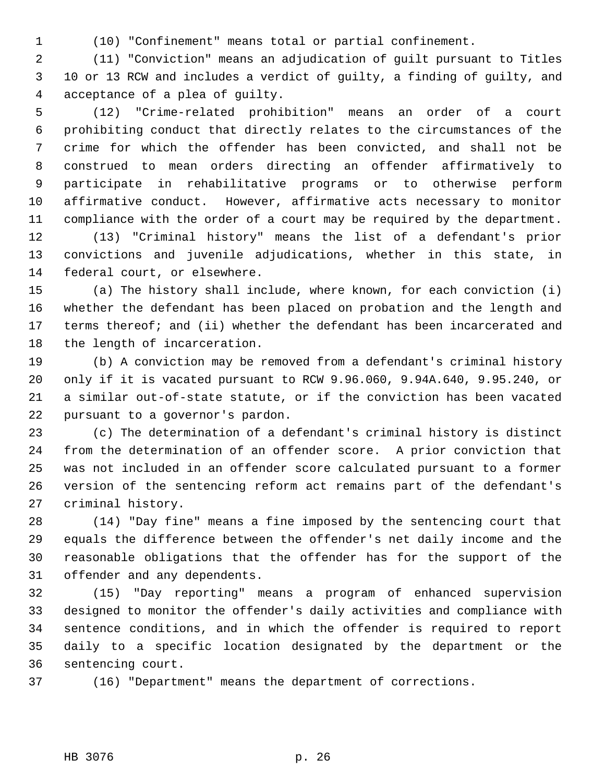(10) "Confinement" means total or partial confinement.

 (11) "Conviction" means an adjudication of guilt pursuant to Titles 10 or 13 RCW and includes a verdict of guilty, a finding of guilty, and acceptance of a plea of guilty.

 (12) "Crime-related prohibition" means an order of a court prohibiting conduct that directly relates to the circumstances of the crime for which the offender has been convicted, and shall not be construed to mean orders directing an offender affirmatively to participate in rehabilitative programs or to otherwise perform affirmative conduct. However, affirmative acts necessary to monitor compliance with the order of a court may be required by the department.

 (13) "Criminal history" means the list of a defendant's prior convictions and juvenile adjudications, whether in this state, in federal court, or elsewhere.

 (a) The history shall include, where known, for each conviction (i) whether the defendant has been placed on probation and the length and 17 terms thereof; and (ii) whether the defendant has been incarcerated and the length of incarceration.

 (b) A conviction may be removed from a defendant's criminal history only if it is vacated pursuant to RCW 9.96.060, 9.94A.640, 9.95.240, or a similar out-of-state statute, or if the conviction has been vacated pursuant to a governor's pardon.

 (c) The determination of a defendant's criminal history is distinct from the determination of an offender score. A prior conviction that was not included in an offender score calculated pursuant to a former version of the sentencing reform act remains part of the defendant's criminal history.

 (14) "Day fine" means a fine imposed by the sentencing court that equals the difference between the offender's net daily income and the reasonable obligations that the offender has for the support of the offender and any dependents.

 (15) "Day reporting" means a program of enhanced supervision designed to monitor the offender's daily activities and compliance with sentence conditions, and in which the offender is required to report daily to a specific location designated by the department or the sentencing court.

(16) "Department" means the department of corrections.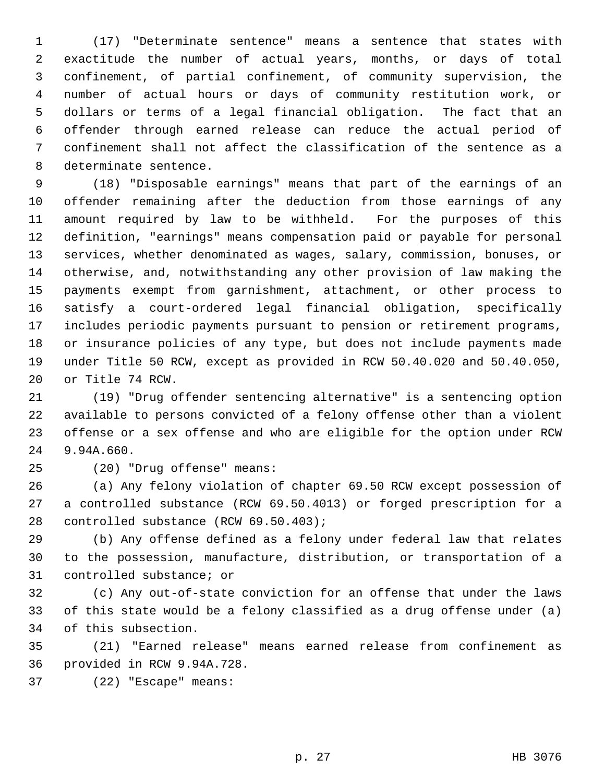(17) "Determinate sentence" means a sentence that states with exactitude the number of actual years, months, or days of total confinement, of partial confinement, of community supervision, the number of actual hours or days of community restitution work, or dollars or terms of a legal financial obligation. The fact that an offender through earned release can reduce the actual period of confinement shall not affect the classification of the sentence as a determinate sentence.

 (18) "Disposable earnings" means that part of the earnings of an offender remaining after the deduction from those earnings of any amount required by law to be withheld. For the purposes of this definition, "earnings" means compensation paid or payable for personal services, whether denominated as wages, salary, commission, bonuses, or otherwise, and, notwithstanding any other provision of law making the payments exempt from garnishment, attachment, or other process to satisfy a court-ordered legal financial obligation, specifically includes periodic payments pursuant to pension or retirement programs, or insurance policies of any type, but does not include payments made under Title 50 RCW, except as provided in RCW 50.40.020 and 50.40.050, or Title 74 RCW.

 (19) "Drug offender sentencing alternative" is a sentencing option available to persons convicted of a felony offense other than a violent offense or a sex offense and who are eligible for the option under RCW 9.94A.660.

(20) "Drug offense" means:

 (a) Any felony violation of chapter 69.50 RCW except possession of a controlled substance (RCW 69.50.4013) or forged prescription for a controlled substance (RCW 69.50.403);

 (b) Any offense defined as a felony under federal law that relates to the possession, manufacture, distribution, or transportation of a controlled substance; or

 (c) Any out-of-state conviction for an offense that under the laws of this state would be a felony classified as a drug offense under (a) of this subsection.

 (21) "Earned release" means earned release from confinement as provided in RCW 9.94A.728.

(22) "Escape" means: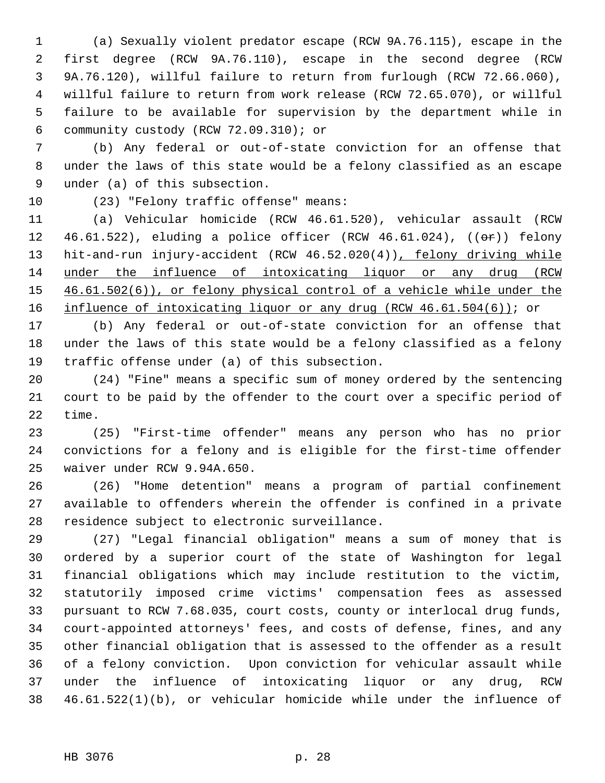(a) Sexually violent predator escape (RCW 9A.76.115), escape in the first degree (RCW 9A.76.110), escape in the second degree (RCW 9A.76.120), willful failure to return from furlough (RCW 72.66.060), willful failure to return from work release (RCW 72.65.070), or willful failure to be available for supervision by the department while in community custody (RCW 72.09.310); or

 (b) Any federal or out-of-state conviction for an offense that under the laws of this state would be a felony classified as an escape under (a) of this subsection.

(23) "Felony traffic offense" means:

 (a) Vehicular homicide (RCW 46.61.520), vehicular assault (RCW 12 46.61.522), eluding a police officer (RCW 46.61.024),  $((\theta \cdot \hat{\theta}))$  felony 13 hit-and-run injury-accident (RCW 46.52.020(4)), felony driving while under the influence of intoxicating liquor or any drug (RCW 46.61.502(6)), or felony physical control of a vehicle while under the influence of intoxicating liquor or any drug (RCW 46.61.504(6)); or

 (b) Any federal or out-of-state conviction for an offense that under the laws of this state would be a felony classified as a felony traffic offense under (a) of this subsection.

 (24) "Fine" means a specific sum of money ordered by the sentencing court to be paid by the offender to the court over a specific period of time.

 (25) "First-time offender" means any person who has no prior convictions for a felony and is eligible for the first-time offender waiver under RCW 9.94A.650.

 (26) "Home detention" means a program of partial confinement available to offenders wherein the offender is confined in a private residence subject to electronic surveillance.

 (27) "Legal financial obligation" means a sum of money that is ordered by a superior court of the state of Washington for legal financial obligations which may include restitution to the victim, statutorily imposed crime victims' compensation fees as assessed pursuant to RCW 7.68.035, court costs, county or interlocal drug funds, court-appointed attorneys' fees, and costs of defense, fines, and any other financial obligation that is assessed to the offender as a result of a felony conviction. Upon conviction for vehicular assault while under the influence of intoxicating liquor or any drug, RCW 46.61.522(1)(b), or vehicular homicide while under the influence of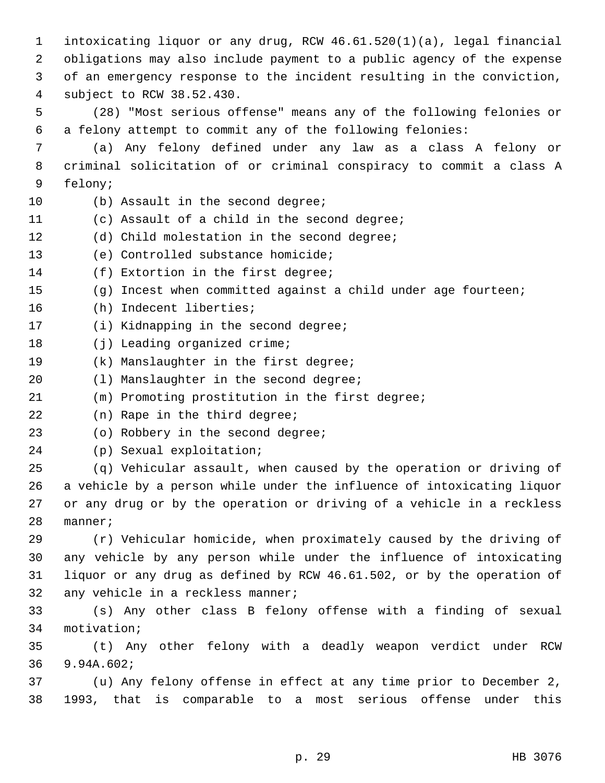intoxicating liquor or any drug, RCW 46.61.520(1)(a), legal financial obligations may also include payment to a public agency of the expense of an emergency response to the incident resulting in the conviction, subject to RCW 38.52.430. (28) "Most serious offense" means any of the following felonies or a felony attempt to commit any of the following felonies: (a) Any felony defined under any law as a class A felony or criminal solicitation of or criminal conspiracy to commit a class A felony; 10 (b) Assault in the second degree; (c) Assault of a child in the second degree; (d) Child molestation in the second degree; (e) Controlled substance homicide; (f) Extortion in the first degree; (g) Incest when committed against a child under age fourteen; (h) Indecent liberties; (i) Kidnapping in the second degree; 18 (j) Leading organized crime; (k) Manslaughter in the first degree; (l) Manslaughter in the second degree; (m) Promoting prostitution in the first degree; (n) Rape in the third degree; (o) Robbery in the second degree; (p) Sexual exploitation; (q) Vehicular assault, when caused by the operation or driving of a vehicle by a person while under the influence of intoxicating liquor or any drug or by the operation or driving of a vehicle in a reckless manner; (r) Vehicular homicide, when proximately caused by the driving of any vehicle by any person while under the influence of intoxicating liquor or any drug as defined by RCW 46.61.502, or by the operation of any vehicle in a reckless manner; (s) Any other class B felony offense with a finding of sexual motivation; (t) Any other felony with a deadly weapon verdict under RCW 9.94A.602; (u) Any felony offense in effect at any time prior to December 2, 1993, that is comparable to a most serious offense under this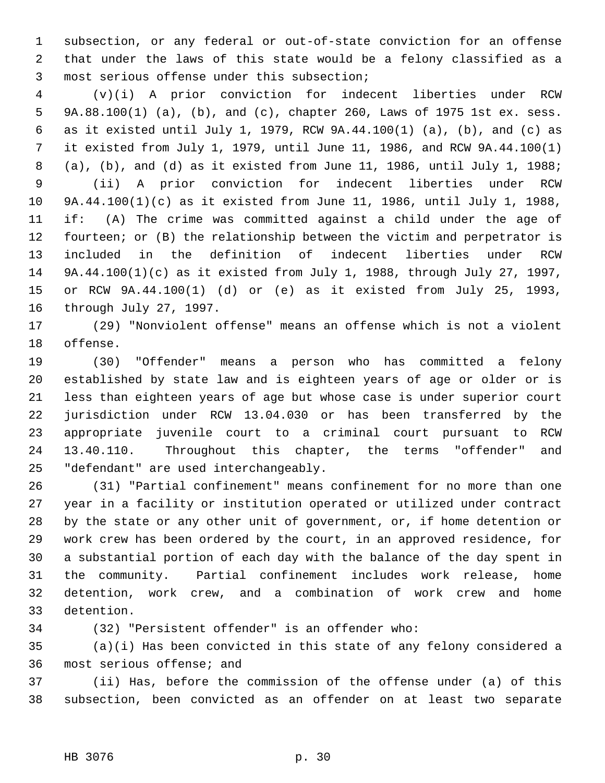subsection, or any federal or out-of-state conviction for an offense that under the laws of this state would be a felony classified as a most serious offense under this subsection;

 (v)(i) A prior conviction for indecent liberties under RCW 9A.88.100(1) (a), (b), and (c), chapter 260, Laws of 1975 1st ex. sess. as it existed until July 1, 1979, RCW 9A.44.100(1) (a), (b), and (c) as it existed from July 1, 1979, until June 11, 1986, and RCW 9A.44.100(1) (a), (b), and (d) as it existed from June 11, 1986, until July 1, 1988; (ii) A prior conviction for indecent liberties under RCW 9A.44.100(1)(c) as it existed from June 11, 1986, until July 1, 1988, if: (A) The crime was committed against a child under the age of fourteen; or (B) the relationship between the victim and perpetrator is included in the definition of indecent liberties under RCW 9A.44.100(1)(c) as it existed from July 1, 1988, through July 27, 1997, or RCW 9A.44.100(1) (d) or (e) as it existed from July 25, 1993, through July 27, 1997.

 (29) "Nonviolent offense" means an offense which is not a violent offense.

 (30) "Offender" means a person who has committed a felony established by state law and is eighteen years of age or older or is less than eighteen years of age but whose case is under superior court jurisdiction under RCW 13.04.030 or has been transferred by the appropriate juvenile court to a criminal court pursuant to RCW 13.40.110. Throughout this chapter, the terms "offender" and "defendant" are used interchangeably.

 (31) "Partial confinement" means confinement for no more than one year in a facility or institution operated or utilized under contract by the state or any other unit of government, or, if home detention or work crew has been ordered by the court, in an approved residence, for a substantial portion of each day with the balance of the day spent in the community. Partial confinement includes work release, home detention, work crew, and a combination of work crew and home detention.

(32) "Persistent offender" is an offender who:

 (a)(i) Has been convicted in this state of any felony considered a most serious offense; and

 (ii) Has, before the commission of the offense under (a) of this subsection, been convicted as an offender on at least two separate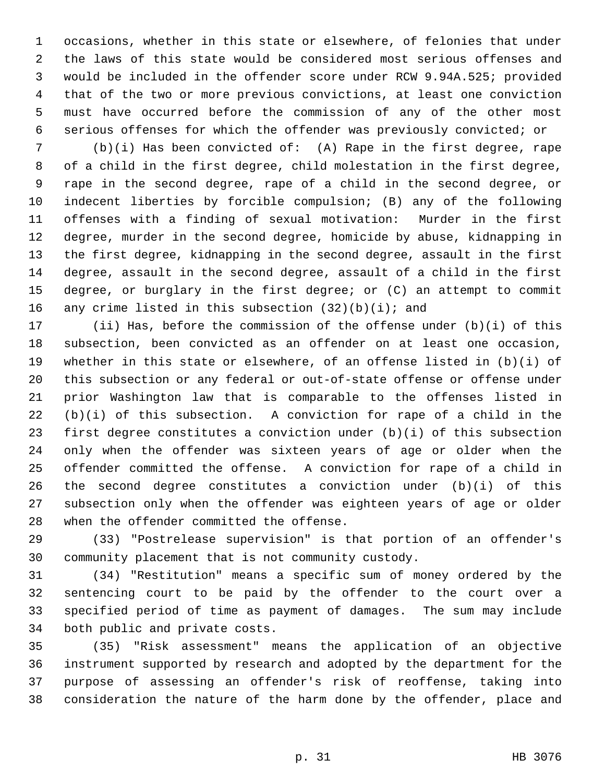occasions, whether in this state or elsewhere, of felonies that under the laws of this state would be considered most serious offenses and would be included in the offender score under RCW 9.94A.525; provided that of the two or more previous convictions, at least one conviction must have occurred before the commission of any of the other most serious offenses for which the offender was previously convicted; or

 (b)(i) Has been convicted of: (A) Rape in the first degree, rape of a child in the first degree, child molestation in the first degree, rape in the second degree, rape of a child in the second degree, or indecent liberties by forcible compulsion; (B) any of the following offenses with a finding of sexual motivation: Murder in the first degree, murder in the second degree, homicide by abuse, kidnapping in the first degree, kidnapping in the second degree, assault in the first degree, assault in the second degree, assault of a child in the first degree, or burglary in the first degree; or (C) an attempt to commit 16 any crime listed in this subsection  $(32)(b)(i)$ ; and

 (ii) Has, before the commission of the offense under (b)(i) of this subsection, been convicted as an offender on at least one occasion, whether in this state or elsewhere, of an offense listed in (b)(i) of this subsection or any federal or out-of-state offense or offense under prior Washington law that is comparable to the offenses listed in (b)(i) of this subsection. A conviction for rape of a child in the first degree constitutes a conviction under (b)(i) of this subsection only when the offender was sixteen years of age or older when the offender committed the offense. A conviction for rape of a child in the second degree constitutes a conviction under (b)(i) of this subsection only when the offender was eighteen years of age or older when the offender committed the offense.

 (33) "Postrelease supervision" is that portion of an offender's community placement that is not community custody.

 (34) "Restitution" means a specific sum of money ordered by the sentencing court to be paid by the offender to the court over a specified period of time as payment of damages. The sum may include both public and private costs.

 (35) "Risk assessment" means the application of an objective instrument supported by research and adopted by the department for the purpose of assessing an offender's risk of reoffense, taking into consideration the nature of the harm done by the offender, place and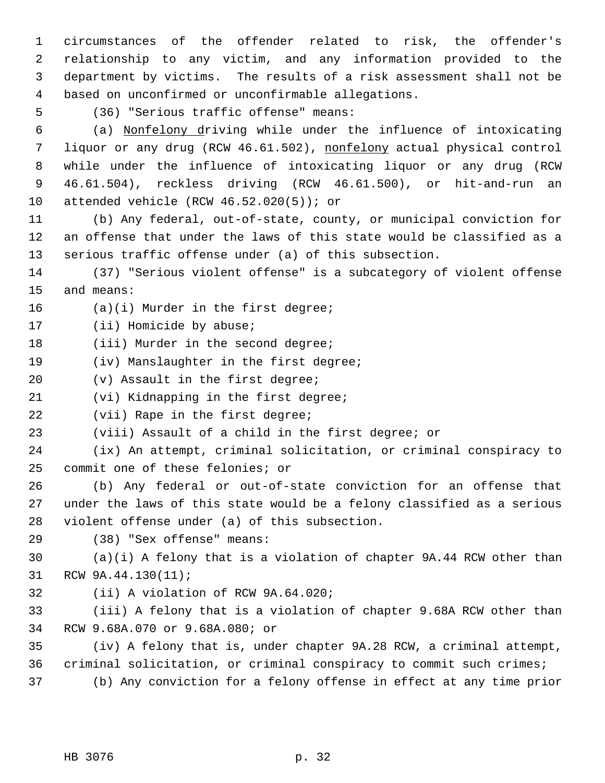circumstances of the offender related to risk, the offender's relationship to any victim, and any information provided to the department by victims. The results of a risk assessment shall not be based on unconfirmed or unconfirmable allegations.

(36) "Serious traffic offense" means:

 (a) Nonfelony driving while under the influence of intoxicating 7 liquor or any drug (RCW 46.61.502), nonfelony actual physical control while under the influence of intoxicating liquor or any drug (RCW 46.61.504), reckless driving (RCW 46.61.500), or hit-and-run an attended vehicle (RCW 46.52.020(5)); or

 (b) Any federal, out-of-state, county, or municipal conviction for an offense that under the laws of this state would be classified as a serious traffic offense under (a) of this subsection.

 (37) "Serious violent offense" is a subcategory of violent offense and means:

(a)(i) Murder in the first degree;

17 (ii) Homicide by abuse;

18 (iii) Murder in the second degree;

(iv) Manslaughter in the first degree;

(v) Assault in the first degree;

(vi) Kidnapping in the first degree;

22 (vii) Rape in the first degree;

(viii) Assault of a child in the first degree; or

 (ix) An attempt, criminal solicitation, or criminal conspiracy to commit one of these felonies; or

 (b) Any federal or out-of-state conviction for an offense that under the laws of this state would be a felony classified as a serious violent offense under (a) of this subsection.

(38) "Sex offense" means:

 (a)(i) A felony that is a violation of chapter 9A.44 RCW other than RCW 9A.44.130(11);

(ii) A violation of RCW 9A.64.020;

 (iii) A felony that is a violation of chapter 9.68A RCW other than RCW 9.68A.070 or 9.68A.080; or

 (iv) A felony that is, under chapter 9A.28 RCW, a criminal attempt, criminal solicitation, or criminal conspiracy to commit such crimes; (b) Any conviction for a felony offense in effect at any time prior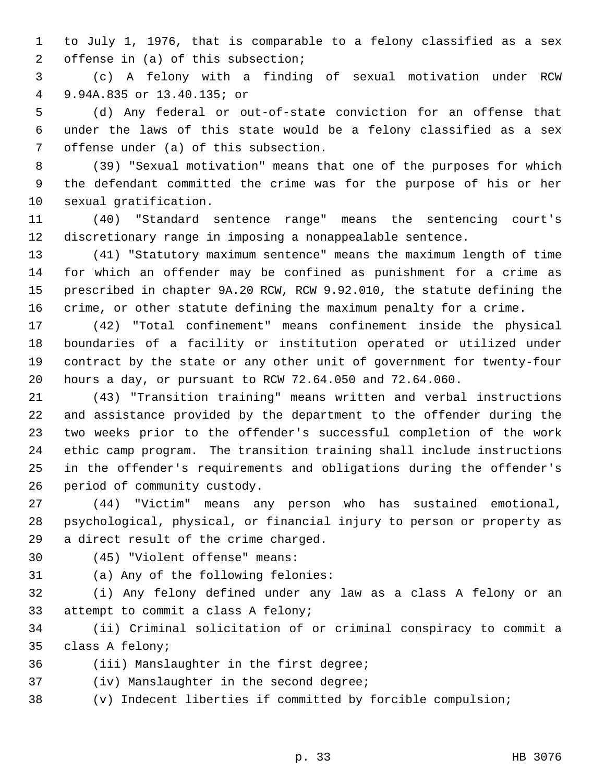to July 1, 1976, that is comparable to a felony classified as a sex offense in (a) of this subsection;

 (c) A felony with a finding of sexual motivation under RCW 9.94A.835 or 13.40.135; or

 (d) Any federal or out-of-state conviction for an offense that under the laws of this state would be a felony classified as a sex offense under (a) of this subsection.

 (39) "Sexual motivation" means that one of the purposes for which the defendant committed the crime was for the purpose of his or her sexual gratification.

 (40) "Standard sentence range" means the sentencing court's discretionary range in imposing a nonappealable sentence.

 (41) "Statutory maximum sentence" means the maximum length of time for which an offender may be confined as punishment for a crime as prescribed in chapter 9A.20 RCW, RCW 9.92.010, the statute defining the crime, or other statute defining the maximum penalty for a crime.

 (42) "Total confinement" means confinement inside the physical boundaries of a facility or institution operated or utilized under contract by the state or any other unit of government for twenty-four hours a day, or pursuant to RCW 72.64.050 and 72.64.060.

 (43) "Transition training" means written and verbal instructions and assistance provided by the department to the offender during the two weeks prior to the offender's successful completion of the work ethic camp program. The transition training shall include instructions in the offender's requirements and obligations during the offender's period of community custody.

 (44) "Victim" means any person who has sustained emotional, psychological, physical, or financial injury to person or property as a direct result of the crime charged.

(45) "Violent offense" means:

(a) Any of the following felonies:

 (i) Any felony defined under any law as a class A felony or an attempt to commit a class A felony;

 (ii) Criminal solicitation of or criminal conspiracy to commit a class A felony;

(iii) Manslaughter in the first degree;

(iv) Manslaughter in the second degree;

(v) Indecent liberties if committed by forcible compulsion;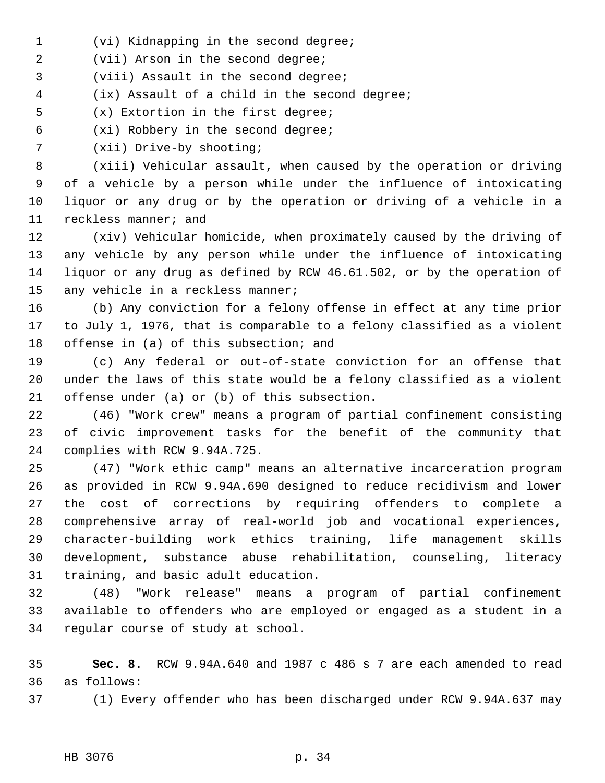- (vi) Kidnapping in the second degree;
- 2 (vii) Arson in the second degree;
- (viii) Assault in the second degree;
- (ix) Assault of a child in the second degree;
- (x) Extortion in the first degree;
- (xi) Robbery in the second degree;
- (xii) Drive-by shooting;

 (xiii) Vehicular assault, when caused by the operation or driving of a vehicle by a person while under the influence of intoxicating liquor or any drug or by the operation or driving of a vehicle in a reckless manner; and

 (xiv) Vehicular homicide, when proximately caused by the driving of any vehicle by any person while under the influence of intoxicating liquor or any drug as defined by RCW 46.61.502, or by the operation of 15 any vehicle in a reckless manner;

 (b) Any conviction for a felony offense in effect at any time prior to July 1, 1976, that is comparable to a felony classified as a violent offense in (a) of this subsection; and

 (c) Any federal or out-of-state conviction for an offense that under the laws of this state would be a felony classified as a violent offense under (a) or (b) of this subsection.

 (46) "Work crew" means a program of partial confinement consisting of civic improvement tasks for the benefit of the community that complies with RCW 9.94A.725.

 (47) "Work ethic camp" means an alternative incarceration program as provided in RCW 9.94A.690 designed to reduce recidivism and lower the cost of corrections by requiring offenders to complete a comprehensive array of real-world job and vocational experiences, character-building work ethics training, life management skills development, substance abuse rehabilitation, counseling, literacy training, and basic adult education.

 (48) "Work release" means a program of partial confinement available to offenders who are employed or engaged as a student in a regular course of study at school.

 **Sec. 8.** RCW 9.94A.640 and 1987 c 486 s 7 are each amended to read as follows:

(1) Every offender who has been discharged under RCW 9.94A.637 may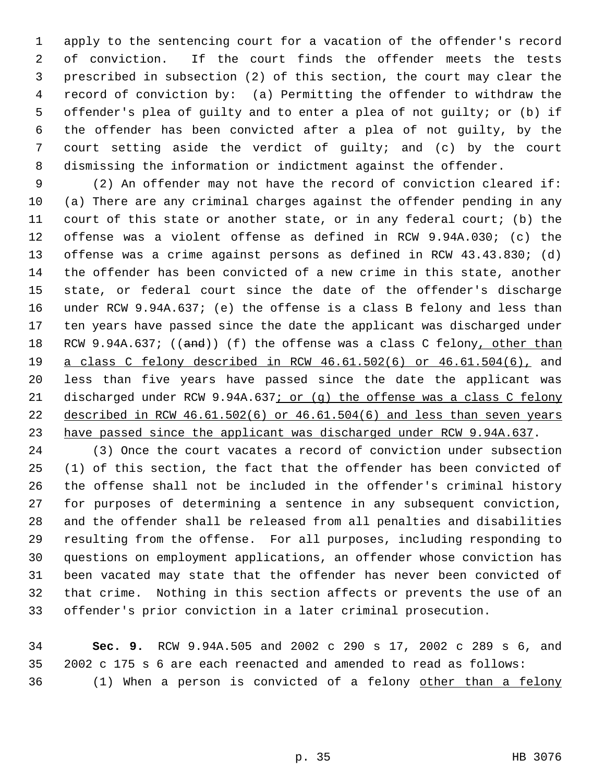apply to the sentencing court for a vacation of the offender's record of conviction. If the court finds the offender meets the tests prescribed in subsection (2) of this section, the court may clear the record of conviction by: (a) Permitting the offender to withdraw the offender's plea of guilty and to enter a plea of not guilty; or (b) if the offender has been convicted after a plea of not guilty, by the court setting aside the verdict of guilty; and (c) by the court dismissing the information or indictment against the offender.

 (2) An offender may not have the record of conviction cleared if: (a) There are any criminal charges against the offender pending in any court of this state or another state, or in any federal court; (b) the offense was a violent offense as defined in RCW 9.94A.030; (c) the offense was a crime against persons as defined in RCW 43.43.830; (d) the offender has been convicted of a new crime in this state, another state, or federal court since the date of the offender's discharge under RCW 9.94A.637; (e) the offense is a class B felony and less than ten years have passed since the date the applicant was discharged under 18 RCW 9.94A.637; ((and)) (f) the offense was a class C felony, other than a class C felony described in RCW 46.61.502(6) or 46.61.504(6), and less than five years have passed since the date the applicant was discharged under RCW 9.94A.637; or (g) the offense was a class C felony described in RCW 46.61.502(6) or 46.61.504(6) and less than seven years have passed since the applicant was discharged under RCW 9.94A.637.

 (3) Once the court vacates a record of conviction under subsection (1) of this section, the fact that the offender has been convicted of the offense shall not be included in the offender's criminal history for purposes of determining a sentence in any subsequent conviction, and the offender shall be released from all penalties and disabilities resulting from the offense. For all purposes, including responding to questions on employment applications, an offender whose conviction has been vacated may state that the offender has never been convicted of that crime. Nothing in this section affects or prevents the use of an offender's prior conviction in a later criminal prosecution.

 **Sec. 9.** RCW 9.94A.505 and 2002 c 290 s 17, 2002 c 289 s 6, and 2002 c 175 s 6 are each reenacted and amended to read as follows: (1) When a person is convicted of a felony other than a felony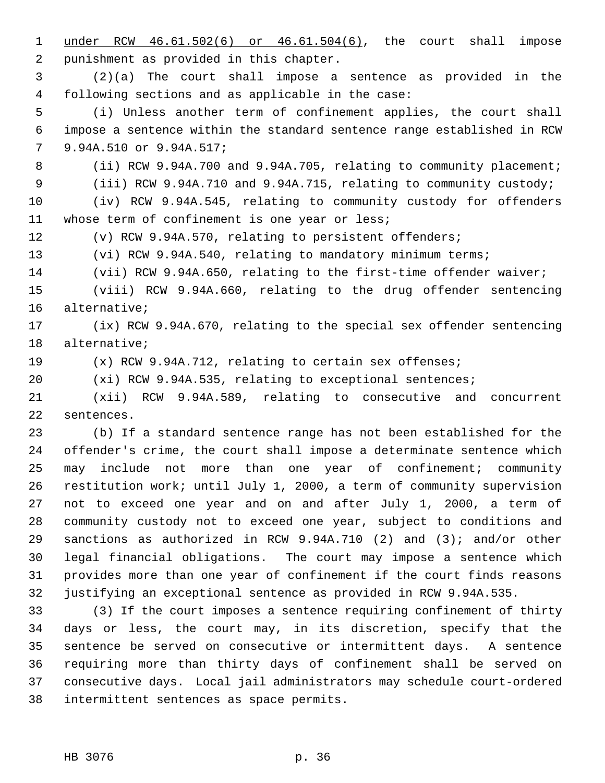under RCW 46.61.502(6) or 46.61.504(6), the court shall impose punishment as provided in this chapter.

 (2)(a) The court shall impose a sentence as provided in the following sections and as applicable in the case:

 (i) Unless another term of confinement applies, the court shall impose a sentence within the standard sentence range established in RCW 9.94A.510 or 9.94A.517;

8 (ii) RCW 9.94A.700 and 9.94A.705, relating to community placement;

(iii) RCW 9.94A.710 and 9.94A.715, relating to community custody;

 (iv) RCW 9.94A.545, relating to community custody for offenders 11 whose term of confinement is one year or less;

(v) RCW 9.94A.570, relating to persistent offenders;

(vi) RCW 9.94A.540, relating to mandatory minimum terms;

(vii) RCW 9.94A.650, relating to the first-time offender waiver;

 (viii) RCW 9.94A.660, relating to the drug offender sentencing alternative;

 (ix) RCW 9.94A.670, relating to the special sex offender sentencing alternative;

(x) RCW 9.94A.712, relating to certain sex offenses;

(xi) RCW 9.94A.535, relating to exceptional sentences;

 (xii) RCW 9.94A.589, relating to consecutive and concurrent sentences.

 (b) If a standard sentence range has not been established for the offender's crime, the court shall impose a determinate sentence which may include not more than one year of confinement; community restitution work; until July 1, 2000, a term of community supervision not to exceed one year and on and after July 1, 2000, a term of community custody not to exceed one year, subject to conditions and sanctions as authorized in RCW 9.94A.710 (2) and (3); and/or other legal financial obligations. The court may impose a sentence which provides more than one year of confinement if the court finds reasons justifying an exceptional sentence as provided in RCW 9.94A.535.

 (3) If the court imposes a sentence requiring confinement of thirty days or less, the court may, in its discretion, specify that the sentence be served on consecutive or intermittent days. A sentence requiring more than thirty days of confinement shall be served on consecutive days. Local jail administrators may schedule court-ordered intermittent sentences as space permits.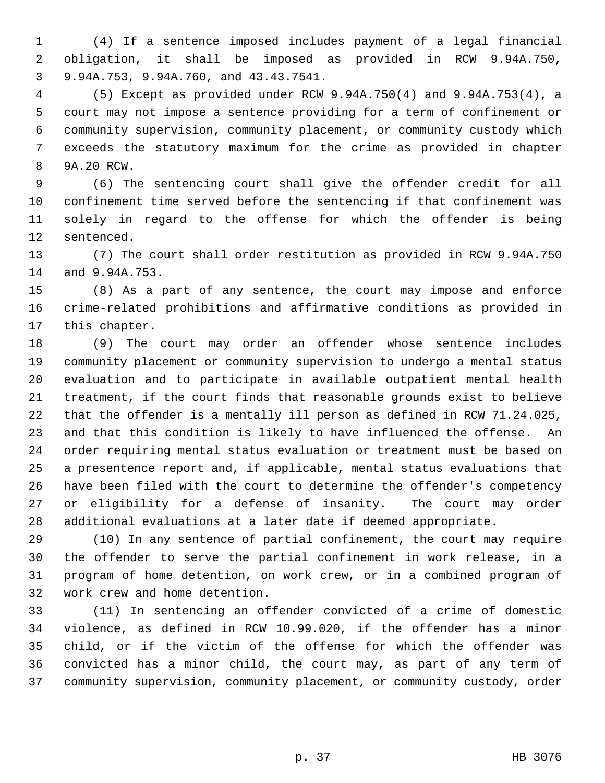(4) If a sentence imposed includes payment of a legal financial obligation, it shall be imposed as provided in RCW 9.94A.750, 9.94A.753, 9.94A.760, and 43.43.7541.

 (5) Except as provided under RCW 9.94A.750(4) and 9.94A.753(4), a court may not impose a sentence providing for a term of confinement or community supervision, community placement, or community custody which exceeds the statutory maximum for the crime as provided in chapter 9A.20 RCW.

 (6) The sentencing court shall give the offender credit for all confinement time served before the sentencing if that confinement was solely in regard to the offense for which the offender is being sentenced.

 (7) The court shall order restitution as provided in RCW 9.94A.750 and 9.94A.753.

 (8) As a part of any sentence, the court may impose and enforce crime-related prohibitions and affirmative conditions as provided in this chapter.

 (9) The court may order an offender whose sentence includes community placement or community supervision to undergo a mental status evaluation and to participate in available outpatient mental health treatment, if the court finds that reasonable grounds exist to believe that the offender is a mentally ill person as defined in RCW 71.24.025, and that this condition is likely to have influenced the offense. An order requiring mental status evaluation or treatment must be based on a presentence report and, if applicable, mental status evaluations that have been filed with the court to determine the offender's competency or eligibility for a defense of insanity. The court may order additional evaluations at a later date if deemed appropriate.

 (10) In any sentence of partial confinement, the court may require the offender to serve the partial confinement in work release, in a program of home detention, on work crew, or in a combined program of work crew and home detention.

 (11) In sentencing an offender convicted of a crime of domestic violence, as defined in RCW 10.99.020, if the offender has a minor child, or if the victim of the offense for which the offender was convicted has a minor child, the court may, as part of any term of community supervision, community placement, or community custody, order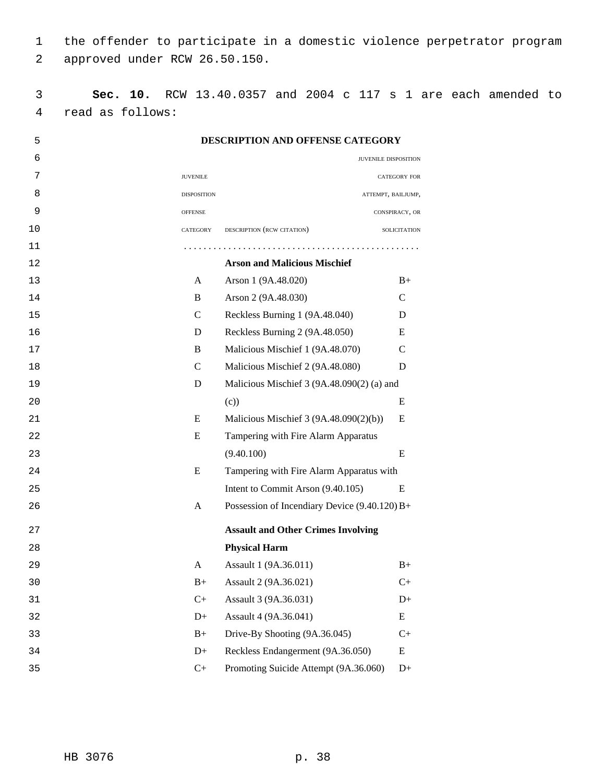1 the offender to participate in a domestic violence perpetrator program 2 approved under RCW 26.50.150.

 3 **Sec. 10.** RCW 13.40.0357 and 2004 c 117 s 1 are each amended to 4 read as follows:

| 5  |                    | DESCRIPTION AND OFFENSE CATEGORY              |                     |
|----|--------------------|-----------------------------------------------|---------------------|
| 6  |                    | JUVENILE DISPOSITION                          |                     |
| 7  | <b>JUVENILE</b>    |                                               | CATEGORY FOR        |
| 8  | <b>DISPOSITION</b> | ATTEMPT, BAILJUMP,                            |                     |
| 9  | <b>OFFENSE</b>     |                                               | CONSPIRACY, OR      |
| 10 | CATEGORY           | DESCRIPTION (RCW CITATION)                    | <b>SOLICITATION</b> |
| 11 |                    |                                               |                     |
| 12 |                    | <b>Arson and Malicious Mischief</b>           |                     |
| 13 | A                  | Arson 1 (9A.48.020)                           | $B+$                |
| 14 | $\bf{B}$           | Arson 2 (9A.48.030)                           | $\mathsf{C}$        |
| 15 | $\mathbf C$        | Reckless Burning 1 (9A.48.040)                | D                   |
| 16 | ${\bf D}$          | Reckless Burning 2 (9A.48.050)                | E                   |
| 17 | B                  | Malicious Mischief 1 (9A.48.070)              | $\mathcal{C}$       |
| 18 | $\mathbf C$        | Malicious Mischief 2 (9A.48.080)              | D                   |
| 19 | D                  | Malicious Mischief 3 (9A.48.090(2) (a) and    |                     |
| 20 |                    | (c)                                           | E                   |
| 21 | E                  | Malicious Mischief 3 (9A.48.090(2)(b))        | E                   |
| 22 | E                  | Tampering with Fire Alarm Apparatus           |                     |
| 23 |                    | (9.40.100)                                    | E                   |
| 24 | E                  | Tampering with Fire Alarm Apparatus with      |                     |
| 25 |                    | Intent to Commit Arson (9.40.105)             | E                   |
| 26 | A                  | Possession of Incendiary Device (9.40.120) B+ |                     |
| 27 |                    | <b>Assault and Other Crimes Involving</b>     |                     |
| 28 |                    | <b>Physical Harm</b>                          |                     |
| 29 | A                  | Assault 1 (9A.36.011)                         | $B+$                |
| 30 | $B+$               | Assault 2 (9A.36.021)                         | $C+$                |
| 31 | $C+$               | Assault 3 (9A.36.031)                         | $\mathrm{D}+$       |
| 32 | $D+$               | Assault 4 (9A.36.041)                         | E                   |
| 33 | $B+$               | Drive-By Shooting (9A.36.045)                 | $C+$                |
| 34 | $D+$               | Reckless Endangerment (9A.36.050)             | ${\bf E}$           |
| 35 | $C+$               | Promoting Suicide Attempt (9A.36.060)         | $D+$                |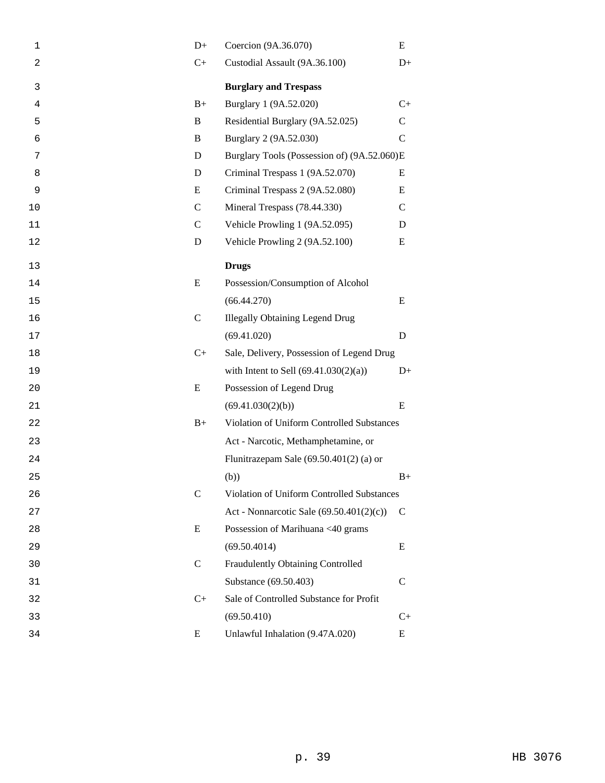| $\mathbf 1$ | $D+$          | Coercion (9A.36.070)                        | E             |
|-------------|---------------|---------------------------------------------|---------------|
| 2           | $C+$          | Custodial Assault (9A.36.100)               | $D+$          |
| 3           |               | <b>Burglary and Trespass</b>                |               |
| 4           | $B+$          | Burglary 1 (9A.52.020)                      | $C+$          |
| 5           | B             | Residential Burglary (9A.52.025)            | $\mathcal{C}$ |
| 6           | B             | Burglary 2 (9A.52.030)                      | $\mathbf C$   |
| 7           | D             | Burglary Tools (Possession of) (9A.52.060)E |               |
| 8           | D             | Criminal Trespass 1 (9A.52.070)             | E             |
| 9           | E             | Criminal Trespass 2 (9A.52.080)             | E             |
| 10          | $\mathsf{C}$  | Mineral Trespass (78.44.330)                | $\mathcal{C}$ |
| 11          | $\mathsf{C}$  | Vehicle Prowling 1 (9A.52.095)              | D             |
| 12          | D             | Vehicle Prowling 2 (9A.52.100)              | E             |
| 13          |               | <b>Drugs</b>                                |               |
| 14          | E             | Possession/Consumption of Alcohol           |               |
| 15          |               | (66.44.270)                                 | E             |
| 16          | $\mathcal{C}$ | <b>Illegally Obtaining Legend Drug</b>      |               |
| 17          |               | (69.41.020)                                 | D             |
| 18          | $C+$          | Sale, Delivery, Possession of Legend Drug   |               |
| 19          |               | with Intent to Sell $(69.41.030(2)(a))$     | $D+$          |
| 20          | E             | Possession of Legend Drug                   |               |
| 21          |               | (69.41.030(2)(b))                           | E             |
| 22          | $B+$          | Violation of Uniform Controlled Substances  |               |
| 23          |               | Act - Narcotic, Methamphetamine, or         |               |
| 24          |               | Flunitrazepam Sale $(69.50.401(2)$ (a) or   |               |
| 25          |               | (b))                                        | $B+$          |
| 26          | $\mathsf{C}$  | Violation of Uniform Controlled Substances  |               |
| 27          |               | Act - Nonnarcotic Sale (69.50.401(2)(c))    | C             |
| 28          | E             | Possession of Marihuana <40 grams           |               |
| 29          |               | (69.50.4014)                                | E             |
| 30          | $\mathcal{C}$ | Fraudulently Obtaining Controlled           |               |
| 31          |               | Substance (69.50.403)                       | $\mathsf{C}$  |
| 32          | $C+$          | Sale of Controlled Substance for Profit     |               |
| 33          |               | (69.50.410)                                 | $C+$          |
| 34          | E             | Unlawful Inhalation (9.47A.020)             | E             |
|             |               |                                             |               |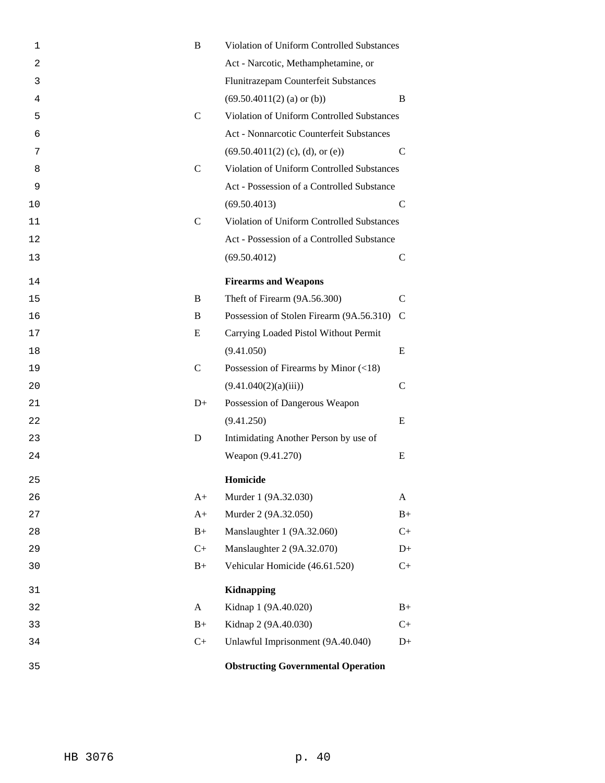| $\mathbf 1$ | B             | Violation of Uniform Controlled Substances  |               |
|-------------|---------------|---------------------------------------------|---------------|
| 2           |               | Act - Narcotic, Methamphetamine, or         |               |
| 3           |               | Flunitrazepam Counterfeit Substances        |               |
| 4           |               | $(69.50.4011(2)$ (a) or (b))                | B             |
| 5           | $\mathcal{C}$ | Violation of Uniform Controlled Substances  |               |
| 6           |               | Act - Nonnarcotic Counterfeit Substances    |               |
| 7           |               | $(69.50.4011(2)$ (c), (d), or (e))          | $\mathcal{C}$ |
| 8           | $\mathsf{C}$  | Violation of Uniform Controlled Substances  |               |
| 9           |               | Act - Possession of a Controlled Substance  |               |
| 10          |               | (69.50.4013)                                | $\mathsf{C}$  |
| 11          | $\mathsf{C}$  | Violation of Uniform Controlled Substances  |               |
| 12          |               | Act - Possession of a Controlled Substance  |               |
| 13          |               | (69.50.4012)                                | $\mathsf{C}$  |
| 14          |               | <b>Firearms and Weapons</b>                 |               |
| 15          | B             | Theft of Firearm (9A.56.300)                | C             |
| 16          | B             | Possession of Stolen Firearm (9A.56.310)    | $\mathcal{C}$ |
| 17          | E             | Carrying Loaded Pistol Without Permit       |               |
| 18          |               | (9.41.050)                                  | E             |
| 19          | $\mathsf{C}$  | Possession of Firearms by Minor $(\leq 18)$ |               |
| 20          |               | (9.41.040(2)(a)(iii))                       | $\mathsf{C}$  |
| 21          | $D+$          | Possession of Dangerous Weapon              |               |
| 22          |               | (9.41.250)                                  | E             |
| 23          | D             | Intimidating Another Person by use of       |               |
| 24          |               | Weapon (9.41.270)                           | E             |
| 25          |               | Homicide                                    |               |
| 26          | $A+$          | Murder 1 (9A.32.030)                        | A             |
| 27          | $A+$          | Murder 2 (9A.32.050)                        | $B+$          |
| 28          | $B+$          | Manslaughter 1 (9A.32.060)                  | $C+$          |
| 29          | $C+$          | Manslaughter 2 (9A.32.070)                  | $D+$          |
| 30          | $B+$          | Vehicular Homicide (46.61.520)              | $C+$          |
| 31          |               | Kidnapping                                  |               |
| 32          | $\mathbf{A}$  | Kidnap 1 (9A.40.020)                        | $B+$          |
| 33          | $B+$          | Kidnap 2 (9A.40.030)                        | $C+$          |
| 34          | $C+$          | Unlawful Imprisonment (9A.40.040)           | $D+$          |
| 35          |               | <b>Obstructing Governmental Operation</b>   |               |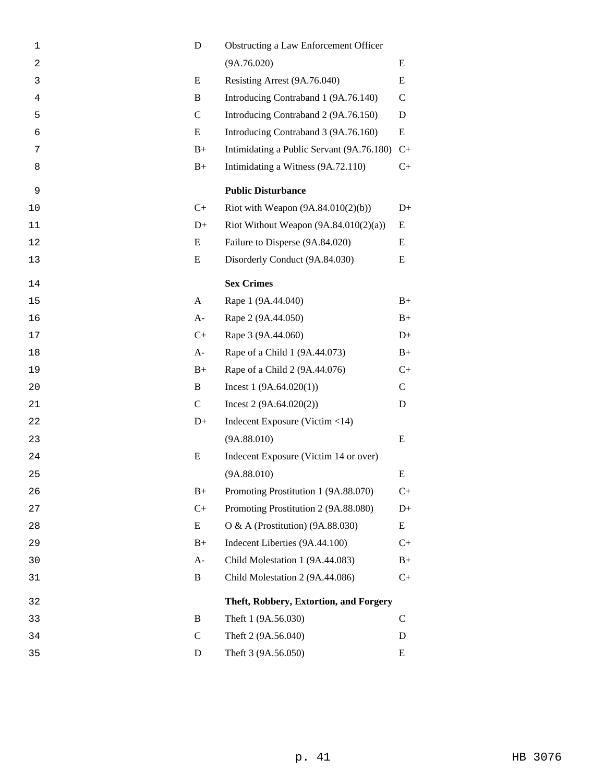| 1              | D             | Obstructing a Law Enforcement Officer     |               |
|----------------|---------------|-------------------------------------------|---------------|
| 2              |               | (9A.76.020)                               | E             |
| 3              | E             | Resisting Arrest (9A.76.040)              | E             |
| $\overline{4}$ | B             | Introducing Contraband 1 (9A.76.140)      | $\mathcal{C}$ |
| 5              | $\mathcal{C}$ | Introducing Contraband 2 (9A.76.150)      | D             |
| 6              | E             | Introducing Contraband 3 (9A.76.160)      | E             |
| 7              | $B+$          | Intimidating a Public Servant (9A.76.180) | $C+$          |
| 8              | $B+$          | Intimidating a Witness (9A.72.110)        | $C_{+}$       |
| 9              |               | <b>Public Disturbance</b>                 |               |
| 10             | $C+$          | Riot with Weapon $(9A.84.010(2)(b))$      | $D+$          |
| 11             | $D+$          | Riot Without Weapon $(9A.84.010(2)(a))$   | Ε             |
| 12             | Ε             | Failure to Disperse (9A.84.020)           | E             |
| 13             | E             | Disorderly Conduct (9A.84.030)            | Ε             |
| 14             |               | <b>Sex Crimes</b>                         |               |
| 15             | A             | Rape 1 (9A.44.040)                        | $B+$          |
| 16             | $A-$          | Rape 2 (9A.44.050)                        | $B+$          |
| 17             | $C+$          | Rape 3 (9A.44.060)                        | $D+$          |
| 18             | $A-$          | Rape of a Child 1 (9A.44.073)             | $B+$          |
| 19             | $B+$          | Rape of a Child 2 (9A.44.076)             | $C+$          |
| 20             | B             | Incest $1(9A.64.020(1))$                  | $\mathsf{C}$  |
| 21             | $\mathcal{C}$ | Incest $2(9A.64.020(2))$                  | D             |
| 22             | $D+$          | Indecent Exposure (Victim $<$ 14)         |               |
| 23             |               | (9A.88.010)                               | E             |
| 24             | E             | Indecent Exposure (Victim 14 or over)     |               |
| 25             |               | (9A.88.010)                               | E             |
| 26             | $B+$          | Promoting Prostitution 1 (9A.88.070)      | $C+$          |
| 27             | $C+$          | Promoting Prostitution 2 (9A.88.080)      | $D+$          |
| 28             | E             | O & A (Prostitution) $(9A.88.030)$        | Ε             |
| 29             | $B+$          | Indecent Liberties (9A.44.100)            | $C+$          |
| 30             | $A-$          | Child Molestation 1 (9A.44.083)           | $B+$          |
| 31             | B             | Child Molestation 2 (9A.44.086)           | $C+$          |
| 32             |               | Theft, Robbery, Extortion, and Forgery    |               |
| 33             | B             | Theft 1 (9A.56.030)                       | $\mathbf C$   |
| 34             | $\mathsf{C}$  | Theft 2 (9A.56.040)                       | D             |
| 35             | D             | Theft 3 (9A.56.050)                       | E             |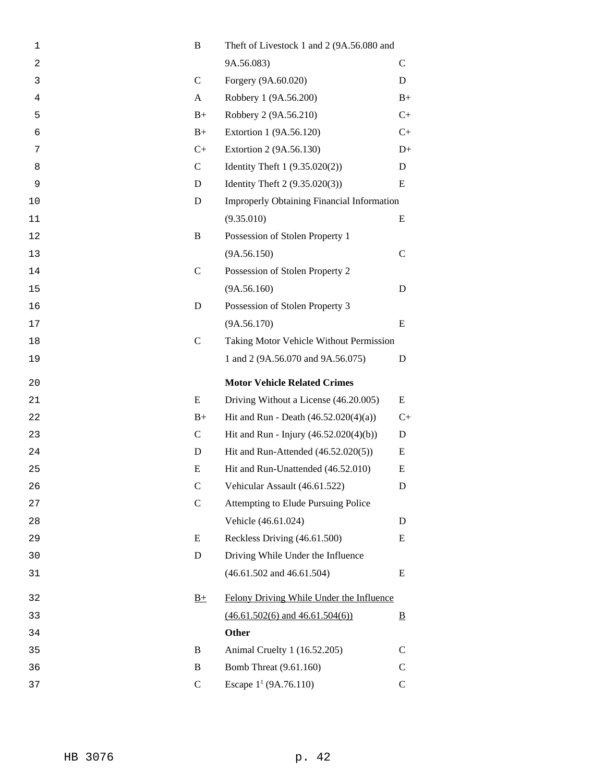| $\mathbf 1$ | B                | Theft of Livestock 1 and 2 (9A.56.080 and         |                          |
|-------------|------------------|---------------------------------------------------|--------------------------|
| 2           |                  | 9A.56.083)                                        | $\mathsf{C}$             |
| 3           | $\mathsf{C}$     | Forgery (9A.60.020)                               | D                        |
| 4           | A                | Robbery 1 (9A.56.200)                             | $B+$                     |
| 5           | $B+$             | Robbery 2 (9A.56.210)                             | $C+$                     |
| 6           | $B+$             | Extortion 1 (9A.56.120)                           | $C+$                     |
| 7           | $C+$             | Extortion 2 (9A.56.130)                           | $D+$                     |
| 8           | $\mathbf C$      | Identity Theft $1 (9.35.020(2))$                  | D                        |
| 9           | D                | Identity Theft $2(9.35.020(3))$                   | Е                        |
| 10          | D                | <b>Improperly Obtaining Financial Information</b> |                          |
| 11          |                  | (9.35.010)                                        | E                        |
| 12          | B                | Possession of Stolen Property 1                   |                          |
| 13          |                  | (9A.56.150)                                       | $\mathcal{C}$            |
| 14          | $\mathcal{C}$    | Possession of Stolen Property 2                   |                          |
| 15          |                  | (9A.56.160)                                       | D                        |
| 16          | D                | Possession of Stolen Property 3                   |                          |
| 17          |                  | (9A.56.170)                                       | E                        |
| 18          | $\mathsf{C}$     | Taking Motor Vehicle Without Permission           |                          |
| 19          |                  | 1 and 2 (9A.56.070 and 9A.56.075)                 | D                        |
| 20          |                  | <b>Motor Vehicle Related Crimes</b>               |                          |
| 21          | E                | Driving Without a License (46.20.005)             | Е                        |
| 22          | $B+$             | Hit and Run - Death $(46.52.020(4)(a))$           | $C+$                     |
|             | $\mathsf{C}$     | Hit and Run - Injury $(46.52.020(4)(b))$          | D                        |
| 23          |                  |                                                   |                          |
| 24          | D                | Hit and Run-Attended $(46.52.020(5))$             | Е                        |
| 25          | E                | Hit and Run-Unattended (46.52.010)                | Ε                        |
| 26          | $\mathsf{C}$     | Vehicular Assault (46.61.522)                     | D                        |
| 27          | $\mathbf C$      | Attempting to Elude Pursuing Police               |                          |
| 28          |                  | Vehicle (46.61.024)                               | D                        |
| 29          | E                | Reckless Driving (46.61.500)                      | E                        |
| 30          | D                | Driving While Under the Influence                 |                          |
| 31          |                  | $(46.61.502$ and $46.61.504)$                     | E                        |
| 32          | $\underline{B+}$ | Felony Driving While Under the Influence          |                          |
| 33          |                  | $(46.61.502(6)$ and $46.61.504(6))$               | $\underline{\mathbf{B}}$ |
| 34          |                  | Other                                             |                          |
| 35          | B                | Animal Cruelty 1 (16.52.205)                      | C                        |
| 36          | B                | Bomb Threat (9.61.160)                            | C                        |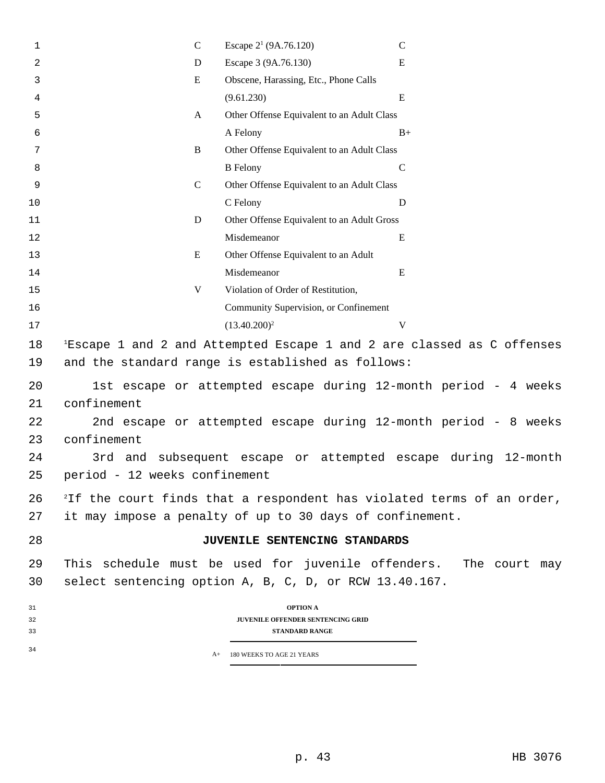| 1  | $\mathbf C$                                                     | Escape $2^1$ (9A.76.120)                                                          | $\mathcal{C}$                                                    |  |  |
|----|-----------------------------------------------------------------|-----------------------------------------------------------------------------------|------------------------------------------------------------------|--|--|
| 2  | D                                                               | Escape 3 (9A.76.130)                                                              | E                                                                |  |  |
| 3  | E                                                               | Obscene, Harassing, Etc., Phone Calls                                             |                                                                  |  |  |
| 4  |                                                                 | (9.61.230)                                                                        | E                                                                |  |  |
| 5  | $\mathbf{A}$                                                    | Other Offense Equivalent to an Adult Class                                        |                                                                  |  |  |
| 6  |                                                                 | A Felony                                                                          | $B+$                                                             |  |  |
| 7  | B                                                               | Other Offense Equivalent to an Adult Class                                        |                                                                  |  |  |
| 8  |                                                                 | <b>B</b> Felony                                                                   | $\mathcal{C}$                                                    |  |  |
| 9  | $\mathcal{C}$                                                   | Other Offense Equivalent to an Adult Class                                        |                                                                  |  |  |
| 10 |                                                                 | C Felony                                                                          | D                                                                |  |  |
| 11 | D                                                               | Other Offense Equivalent to an Adult Gross                                        |                                                                  |  |  |
| 12 |                                                                 | Misdemeanor                                                                       | ${\bf E}$                                                        |  |  |
| 13 | E                                                               | Other Offense Equivalent to an Adult                                              |                                                                  |  |  |
| 14 |                                                                 | Misdemeanor                                                                       | ${\bf E}$                                                        |  |  |
| 15 | V                                                               | Violation of Order of Restitution,                                                |                                                                  |  |  |
| 16 |                                                                 | Community Supervision, or Confinement                                             |                                                                  |  |  |
| 17 |                                                                 | $(13.40.200)^2$                                                                   | V                                                                |  |  |
| 18 |                                                                 | $E$ Escape 1 and 2 and Attempted Escape 1 and 2 are classed as C offenses         |                                                                  |  |  |
| 19 |                                                                 | and the standard range is established as follows:                                 |                                                                  |  |  |
|    |                                                                 |                                                                                   |                                                                  |  |  |
| 20 | confinement                                                     | 1st escape or attempted escape during 12-month period - 4 weeks                   |                                                                  |  |  |
| 21 |                                                                 |                                                                                   |                                                                  |  |  |
| 22 | 2nd escape or attempted escape during 12-month period - 8 weeks |                                                                                   |                                                                  |  |  |
| 23 | confinement                                                     |                                                                                   |                                                                  |  |  |
| 24 | 3rd and                                                         | subsequent escape or attempted escape during                                      | 12-month                                                         |  |  |
| 25 | period - 12 weeks confinement                                   |                                                                                   |                                                                  |  |  |
| 26 |                                                                 | <sup>2</sup> If the court finds that a respondent has violated terms of an order, |                                                                  |  |  |
| 27 |                                                                 | it may impose a penalty of up to 30 days of confinement.                          |                                                                  |  |  |
| 28 |                                                                 | JUVENILE SENTENCING STANDARDS                                                     |                                                                  |  |  |
| 29 |                                                                 |                                                                                   | This schedule must be used for juvenile offenders. The court may |  |  |
| 30 |                                                                 | select sentencing option A, B, C, D, or RCW 13.40.167.                            |                                                                  |  |  |
| 31 |                                                                 | <b>OPTION A</b>                                                                   |                                                                  |  |  |
| 32 |                                                                 | <b>JUVENILE OFFENDER SENTENCING GRID</b>                                          |                                                                  |  |  |
| 33 |                                                                 | <b>STANDARD RANGE</b>                                                             |                                                                  |  |  |
| 34 | $A+$                                                            | 180 WEEKS TO AGE 21 YEARS                                                         |                                                                  |  |  |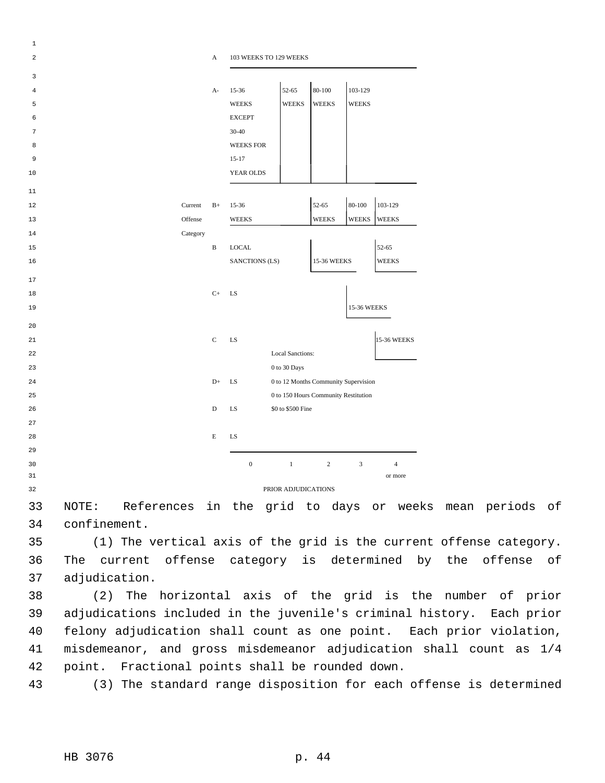| $\mathbf 1$  |          |               |                        |                           |                                      |                |                    |
|--------------|----------|---------------|------------------------|---------------------------|--------------------------------------|----------------|--------------------|
| $\mathbf 2$  |          | A             | 103 WEEKS TO 129 WEEKS |                           |                                      |                |                    |
| 3            |          |               |                        |                           |                                      |                |                    |
| 4            |          | $A-$          | 15-36                  | 52-65                     | 80-100                               | 103-129        |                    |
| 5            |          |               | <b>WEEKS</b>           | <b>WEEKS</b>              | <b>WEEKS</b>                         | <b>WEEKS</b>   |                    |
| 6            |          |               | <b>EXCEPT</b>          |                           |                                      |                |                    |
| 7            |          |               | 30-40                  |                           |                                      |                |                    |
| 8            |          |               | <b>WEEKS FOR</b>       |                           |                                      |                |                    |
| 9            |          |               | $15 - 17$              |                           |                                      |                |                    |
| 10           |          |               | YEAR OLDS              |                           |                                      |                |                    |
|              |          |               |                        |                           |                                      |                |                    |
| $11\,$<br>12 | Current  | $B+$          | 15-36                  |                           | 52-65                                | 80-100         | 103-129            |
| 13           | Offense  |               | <b>WEEKS</b>           |                           | <b>WEEKS</b>                         | <b>WEEKS</b>   | <b>WEEKS</b>       |
| 14           | Category |               |                        |                           |                                      |                |                    |
| 15           |          | $\, {\bf B}$  | <b>LOCAL</b>           |                           |                                      |                | 52-65              |
| 16           |          |               | SANCTIONS (LS)         |                           | 15-36 WEEKS                          |                | <b>WEEKS</b>       |
|              |          |               |                        |                           |                                      |                |                    |
| 17           |          |               |                        |                           |                                      |                |                    |
| 18           |          | $C+$          | LS                     |                           |                                      |                |                    |
| 19           |          |               |                        |                           |                                      | 15-36 WEEKS    |                    |
| 20           |          |               |                        |                           |                                      |                |                    |
| 21           |          | $\mathcal{C}$ | LS                     |                           |                                      |                | <b>15-36 WEEKS</b> |
| 22           |          |               |                        | <b>Local Sanctions:</b>   |                                      |                |                    |
| 23           |          |               |                        | $0$ to $30~\mathrm{Days}$ |                                      |                |                    |
| 24           |          | $D+$          | LS                     |                           | 0 to 12 Months Community Supervision |                |                    |
| 25           |          |               |                        |                           | 0 to 150 Hours Community Restitution |                |                    |
| 26           |          | D             | LS                     | \$0 to \$500 Fine         |                                      |                |                    |
| 27           |          |               |                        |                           |                                      |                |                    |
| 28           |          | Е             | LS                     |                           |                                      |                |                    |
| 29           |          |               |                        |                           |                                      |                |                    |
| 30           |          |               | $\boldsymbol{0}$       | $\,1$                     | $\,2$                                | $\mathfrak{Z}$ | $\overline{4}$     |
| 31           |          |               |                        |                           |                                      |                | or more            |
| 32           |          |               |                        | PRIOR ADJUDICATIONS       |                                      |                |                    |

 NOTE: References in the grid to days or weeks mean periods of confinement.

 (1) The vertical axis of the grid is the current offense category. The current offense category is determined by the offense of adjudication.

 (2) The horizontal axis of the grid is the number of prior adjudications included in the juvenile's criminal history. Each prior felony adjudication shall count as one point. Each prior violation, misdemeanor, and gross misdemeanor adjudication shall count as 1/4 point. Fractional points shall be rounded down.

(3) The standard range disposition for each offense is determined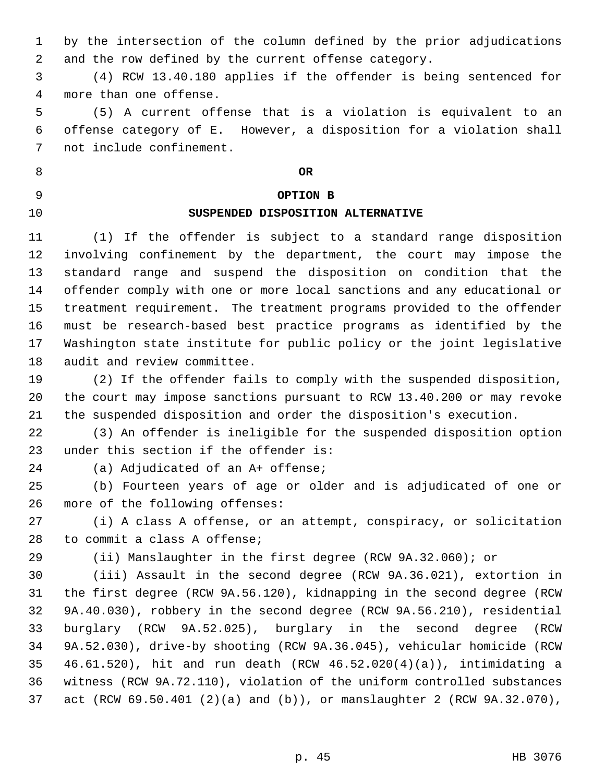by the intersection of the column defined by the prior adjudications and the row defined by the current offense category. (4) RCW 13.40.180 applies if the offender is being sentenced for more than one offense. (5) A current offense that is a violation is equivalent to an offense category of E. However, a disposition for a violation shall not include confinement. **OR OPTION B SUSPENDED DISPOSITION ALTERNATIVE** (1) If the offender is subject to a standard range disposition involving confinement by the department, the court may impose the standard range and suspend the disposition on condition that the offender comply with one or more local sanctions and any educational or treatment requirement. The treatment programs provided to the offender must be research-based best practice programs as identified by the Washington state institute for public policy or the joint legislative audit and review committee. (2) If the offender fails to comply with the suspended disposition, the court may impose sanctions pursuant to RCW 13.40.200 or may revoke the suspended disposition and order the disposition's execution. (3) An offender is ineligible for the suspended disposition option under this section if the offender is: (a) Adjudicated of an A+ offense; (b) Fourteen years of age or older and is adjudicated of one or more of the following offenses: (i) A class A offense, or an attempt, conspiracy, or solicitation to commit a class A offense; (ii) Manslaughter in the first degree (RCW 9A.32.060); or (iii) Assault in the second degree (RCW 9A.36.021), extortion in the first degree (RCW 9A.56.120), kidnapping in the second degree (RCW 9A.40.030), robbery in the second degree (RCW 9A.56.210), residential burglary (RCW 9A.52.025), burglary in the second degree (RCW 9A.52.030), drive-by shooting (RCW 9A.36.045), vehicular homicide (RCW 46.61.520), hit and run death (RCW 46.52.020(4)(a)), intimidating a witness (RCW 9A.72.110), violation of the uniform controlled substances act (RCW 69.50.401 (2)(a) and (b)), or manslaughter 2 (RCW 9A.32.070), p. 45 HB 3076